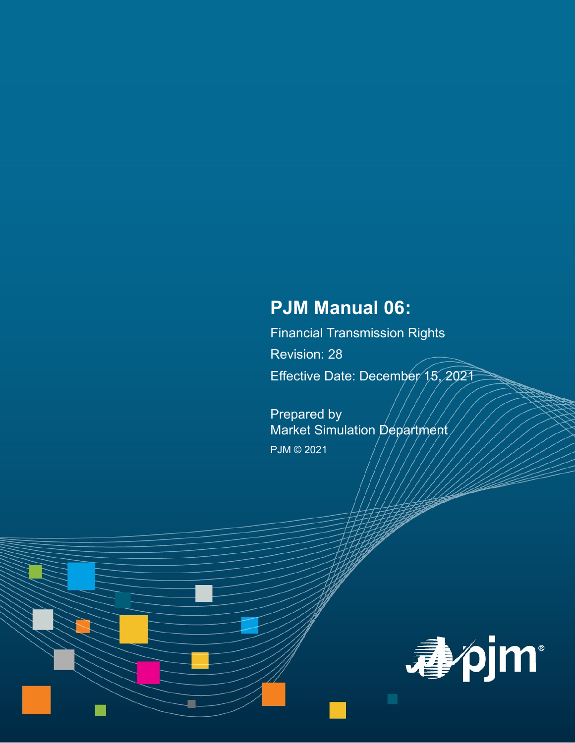# **PJM Manual 06:**

Financial Transmission Rights Revision: 28 Effective Date: December 15, 2021

Prepared by Market Simulation Department PJM © 2021

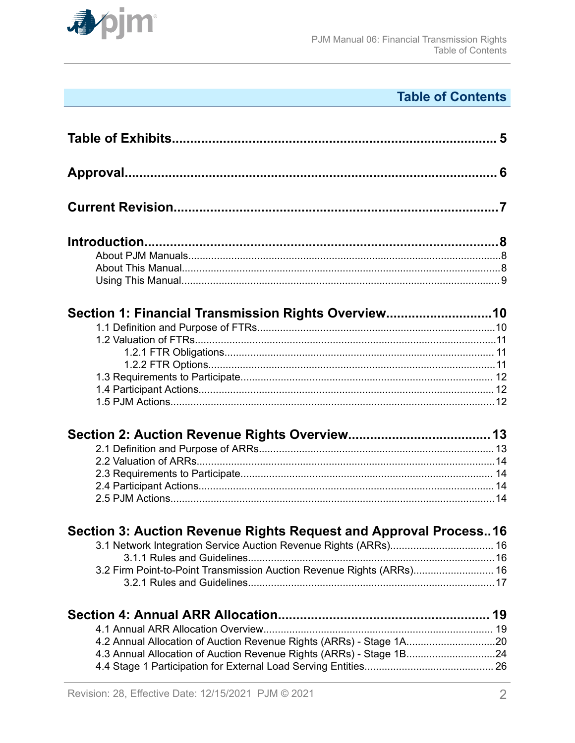

# **Table of Contents**

| Section 1: Financial Transmission Rights Overview10                   |  |
|-----------------------------------------------------------------------|--|
|                                                                       |  |
|                                                                       |  |
|                                                                       |  |
|                                                                       |  |
|                                                                       |  |
|                                                                       |  |
|                                                                       |  |
|                                                                       |  |
|                                                                       |  |
|                                                                       |  |
|                                                                       |  |
|                                                                       |  |
|                                                                       |  |
| Section 3: Auction Revenue Rights Request and Approval Process16      |  |
|                                                                       |  |
|                                                                       |  |
| 3.2 Firm Point-to-Point Transmission Auction Revenue Rights (ARRs) 16 |  |
|                                                                       |  |
|                                                                       |  |
|                                                                       |  |
| 4.2 Annual Allocation of Auction Revenue Rights (ARRs) - Stage 1A20   |  |
| 4.3 Annual Allocation of Auction Revenue Rights (ARRs) - Stage 1B24   |  |
|                                                                       |  |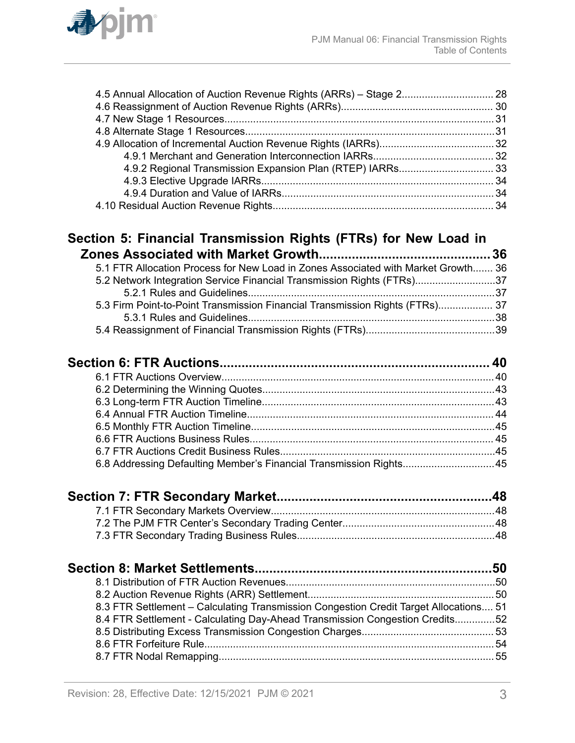

### **[Section 5: Financial Transmission Rights \(FTRs\) for New Load in](#page-35-0) [Zones Associated with Market Growth...............................................36](#page-35-0)**

| 5.1 FTR Allocation Process for New Load in Zones Associated with Market Growth 36 |  |
|-----------------------------------------------------------------------------------|--|
| 5.2 Network Integration Service Financial Transmission Rights (FTRs)37            |  |
|                                                                                   |  |
| 5.3 Firm Point-to-Point Transmission Financial Transmission Rights (FTRs) 37      |  |
|                                                                                   |  |
|                                                                                   |  |

| 6.8 Addressing Defaulting Member's Financial Transmission Rights45 |  |  |
|--------------------------------------------------------------------|--|--|
|                                                                    |  |  |

| 8.3 ETP Settlement Colculating Transmission Congestion Credit Target Allocations 51 |  |
|-------------------------------------------------------------------------------------|--|

| 8.3 FTR Settlement – Calculating Transmission Congestion Credit Target Allocations 51 |  |
|---------------------------------------------------------------------------------------|--|
| 8.4 FTR Settlement - Calculating Day-Ahead Transmission Congestion Credits52          |  |
|                                                                                       |  |
|                                                                                       |  |
|                                                                                       |  |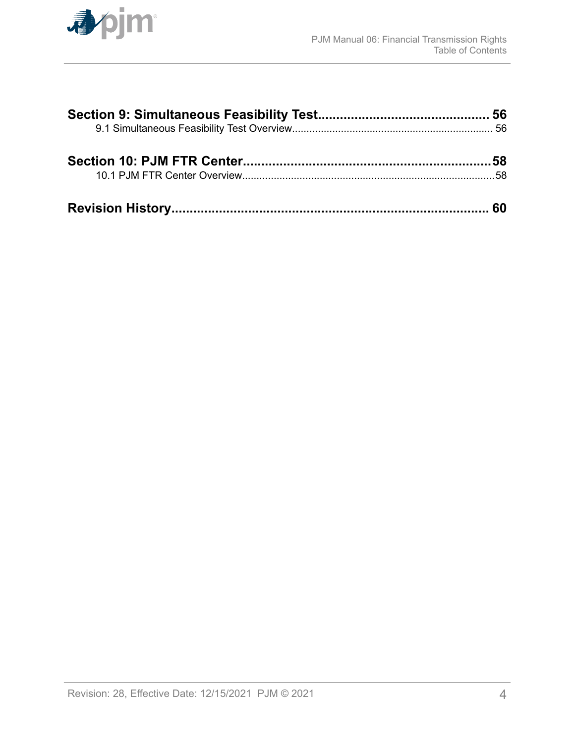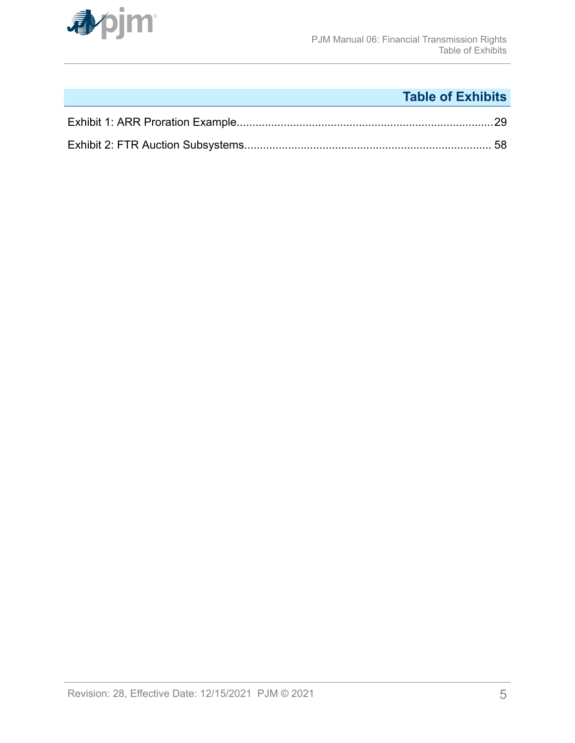<span id="page-4-0"></span>

# **Table of Exhibits**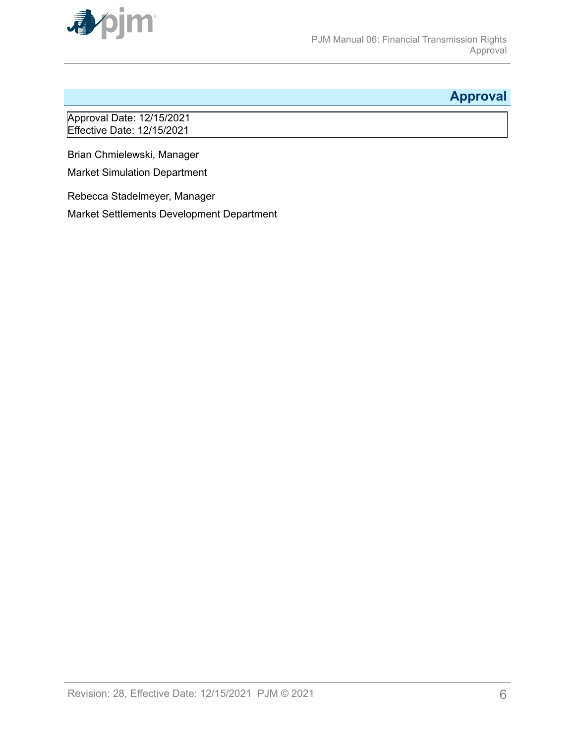<span id="page-5-0"></span>

# **Approval**

Approval Date: 12/15/2021 Effective Date: 12/15/2021

Brian Chmielewski, Manager

Market Simulation Department

Rebecca Stadelmeyer, Manager

Market Settlements Development Department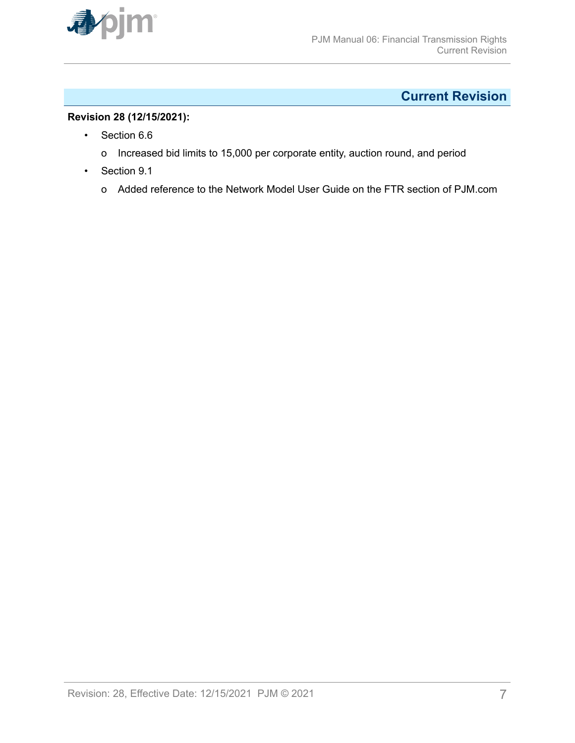<span id="page-6-0"></span>

# **Current Revision**

### **Revision 28 (12/15/2021):**

- Section 6.6
	- o Increased bid limits to 15,000 per corporate entity, auction round, and period
- Section 9.1
	- o Added reference to the Network Model User Guide on the FTR section of PJM.com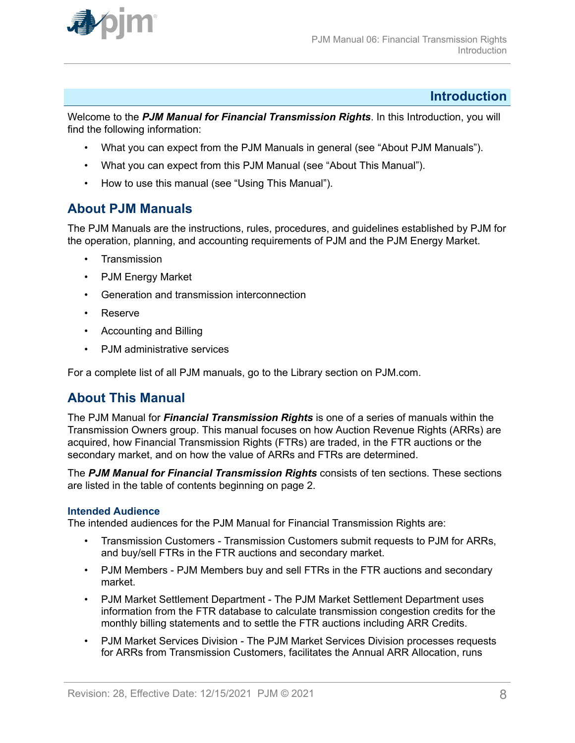<span id="page-7-0"></span>

### **Introduction**

Welcome to the *PJM Manual for Financial Transmission Rights*. In this Introduction, you will find the following information:

- What you can expect from the PJM Manuals in general (see "About PJM Manuals").
- What you can expect from this PJM Manual (see "About This Manual").
- How to use this manual (see "Using This Manual").

### **About PJM Manuals**

The PJM Manuals are the instructions, rules, procedures, and guidelines established by PJM for the operation, planning, and accounting requirements of PJM and the PJM Energy Market.

- **Transmission**
- PJM Energy Market
- Generation and transmission interconnection
- Reserve
- Accounting and Billing
- PJM administrative services

For a complete list of all PJM manuals, go to the Library section on PJM.com.

### **About This Manual**

The PJM Manual for *Financial Transmission Rights* is one of a series of manuals within the Transmission Owners group. This manual focuses on how Auction Revenue Rights (ARRs) are acquired, how Financial Transmission Rights (FTRs) are traded, in the FTR auctions or the secondary market, and on how the value of ARRs and FTRs are determined.

The *PJM Manual for Financial Transmission Rights* consists of ten sections. These sections are listed in the table of contents beginning on page 2.

#### **Intended Audience**

The intended audiences for the PJM Manual for Financial Transmission Rights are:

- Transmission Customers Transmission Customers submit requests to PJM for ARRs, and buy/sell FTRs in the FTR auctions and secondary market.
- PJM Members PJM Members buy and sell FTRs in the FTR auctions and secondary market.
- PJM Market Settlement Department The PJM Market Settlement Department uses information from the FTR database to calculate transmission congestion credits for the monthly billing statements and to settle the FTR auctions including ARR Credits.
- PJM Market Services Division The PJM Market Services Division processes requests for ARRs from Transmission Customers, facilitates the Annual ARR Allocation, runs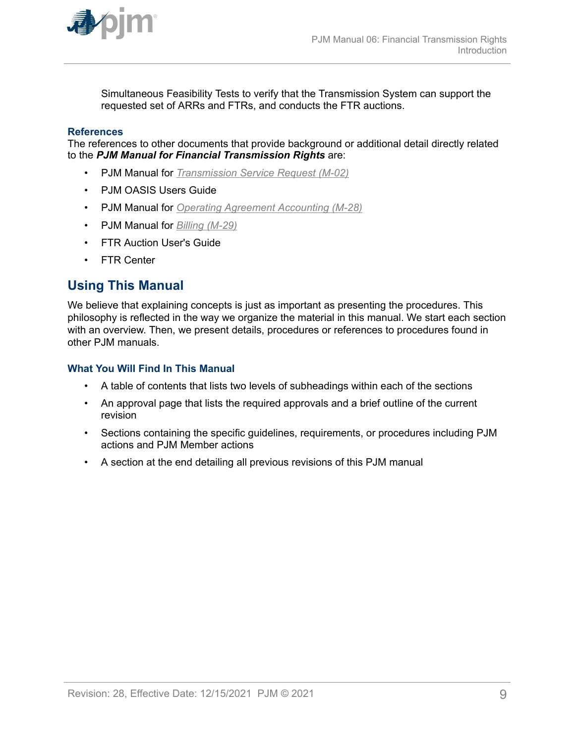<span id="page-8-0"></span>

Simultaneous Feasibility Tests to verify that the Transmission System can support the requested set of ARRs and FTRs, and conducts the FTR auctions.

#### **References**

The references to other documents that provide background or additional detail directly related to the *PJM Manual for Financial Transmission Rights* are:

- PJM Manual for *[Transmission Service Request \(M-02\)](http://www.pjm.com/~/media/documents/manuals/m02.ashx)*
- PJM OASIS Users Guide
- PJM Manual for *[Operating Agreement Accounting \(M-28\)](http://www.pjm.com/~/media/documents/manuals/m28.ashx)*
- PJM Manual for *[Billing \(M-29\)](http://www.pjm.com/~/media/documents/manuals/m29.ashx)*
- FTR Auction User's Guide
- FTR Center

### **Using This Manual**

We believe that explaining concepts is just as important as presenting the procedures. This philosophy is reflected in the way we organize the material in this manual. We start each section with an overview. Then, we present details, procedures or references to procedures found in other PJM manuals.

#### **What You Will Find In This Manual**

- A table of contents that lists two levels of subheadings within each of the sections
- An approval page that lists the required approvals and a brief outline of the current revision
- Sections containing the specific guidelines, requirements, or procedures including PJM actions and PJM Member actions
- A section at the end detailing all previous revisions of this PJM manual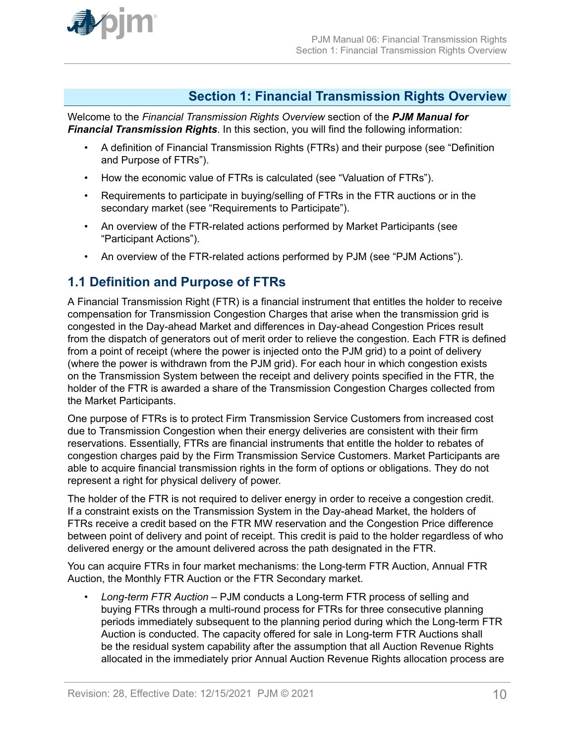<span id="page-9-0"></span>

### **Section 1: Financial Transmission Rights Overview**

Welcome to the *Financial Transmission Rights Overview* section of the *PJM Manual for Financial Transmission Rights*. In this section, you will find the following information:

- A definition of Financial Transmission Rights (FTRs) and their purpose (see "Definition and Purpose of FTRs").
- How the economic value of FTRs is calculated (see "Valuation of FTRs").
- Requirements to participate in buying/selling of FTRs in the FTR auctions or in the secondary market (see "Requirements to Participate").
- An overview of the FTR-related actions performed by Market Participants (see "Participant Actions").
- An overview of the FTR-related actions performed by PJM (see "PJM Actions").

### **1.1 Definition and Purpose of FTRs**

A Financial Transmission Right (FTR) is a financial instrument that entitles the holder to receive compensation for Transmission Congestion Charges that arise when the transmission grid is congested in the Day-ahead Market and differences in Day-ahead Congestion Prices result from the dispatch of generators out of merit order to relieve the congestion. Each FTR is defined from a point of receipt (where the power is injected onto the PJM grid) to a point of delivery (where the power is withdrawn from the PJM grid). For each hour in which congestion exists on the Transmission System between the receipt and delivery points specified in the FTR, the holder of the FTR is awarded a share of the Transmission Congestion Charges collected from the Market Participants.

One purpose of FTRs is to protect Firm Transmission Service Customers from increased cost due to Transmission Congestion when their energy deliveries are consistent with their firm reservations. Essentially, FTRs are financial instruments that entitle the holder to rebates of congestion charges paid by the Firm Transmission Service Customers. Market Participants are able to acquire financial transmission rights in the form of options or obligations. They do not represent a right for physical delivery of power.

The holder of the FTR is not required to deliver energy in order to receive a congestion credit. If a constraint exists on the Transmission System in the Day-ahead Market, the holders of FTRs receive a credit based on the FTR MW reservation and the Congestion Price difference between point of delivery and point of receipt. This credit is paid to the holder regardless of who delivered energy or the amount delivered across the path designated in the FTR.

You can acquire FTRs in four market mechanisms: the Long-term FTR Auction, Annual FTR Auction, the Monthly FTR Auction or the FTR Secondary market.

• *Long-term FTR Auction* – PJM conducts a Long-term FTR process of selling and buying FTRs through a multi-round process for FTRs for three consecutive planning periods immediately subsequent to the planning period during which the Long-term FTR Auction is conducted. The capacity offered for sale in Long-term FTR Auctions shall be the residual system capability after the assumption that all Auction Revenue Rights allocated in the immediately prior Annual Auction Revenue Rights allocation process are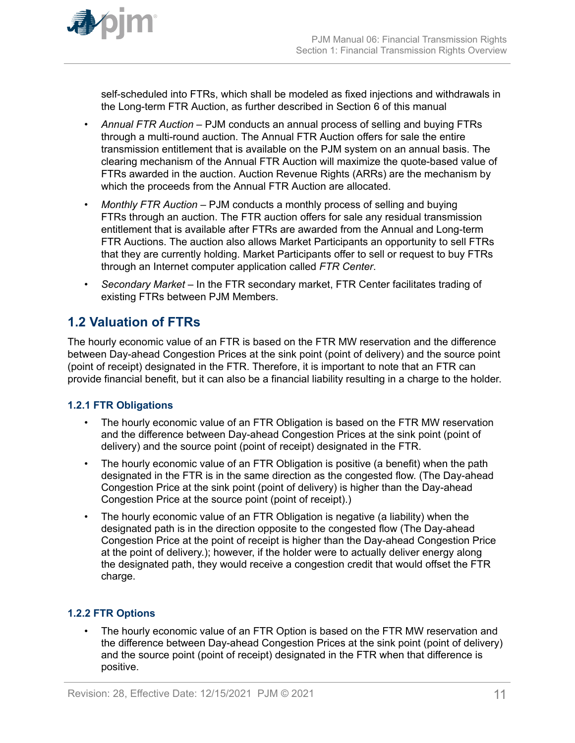<span id="page-10-0"></span>

self-scheduled into FTRs, which shall be modeled as fixed injections and withdrawals in the Long-term FTR Auction, as further described in Section 6 of this manual

- *Annual FTR Auction –* PJM conducts an annual process of selling and buying FTRs through a multi-round auction. The Annual FTR Auction offers for sale the entire transmission entitlement that is available on the PJM system on an annual basis. The clearing mechanism of the Annual FTR Auction will maximize the quote-based value of FTRs awarded in the auction. Auction Revenue Rights (ARRs) are the mechanism by which the proceeds from the Annual FTR Auction are allocated.
- *Monthly FTR Auction –* PJM conducts a monthly process of selling and buying FTRs through an auction. The FTR auction offers for sale any residual transmission entitlement that is available after FTRs are awarded from the Annual and Long-term FTR Auctions. The auction also allows Market Participants an opportunity to sell FTRs that they are currently holding. Market Participants offer to sell or request to buy FTRs through an Internet computer application called *FTR Center*.
- *Secondary Market –* In the FTR secondary market, FTR Center facilitates trading of existing FTRs between PJM Members.

# **1.2 Valuation of FTRs**

The hourly economic value of an FTR is based on the FTR MW reservation and the difference between Day-ahead Congestion Prices at the sink point (point of delivery) and the source point (point of receipt) designated in the FTR. Therefore, it is important to note that an FTR can provide financial benefit, but it can also be a financial liability resulting in a charge to the holder.

### **1.2.1 FTR Obligations**

- The hourly economic value of an FTR Obligation is based on the FTR MW reservation and the difference between Day-ahead Congestion Prices at the sink point (point of delivery) and the source point (point of receipt) designated in the FTR.
- The hourly economic value of an FTR Obligation is positive (a benefit) when the path designated in the FTR is in the same direction as the congested flow. (The Day-ahead Congestion Price at the sink point (point of delivery) is higher than the Day-ahead Congestion Price at the source point (point of receipt).)
- The hourly economic value of an FTR Obligation is negative (a liability) when the designated path is in the direction opposite to the congested flow (The Day-ahead Congestion Price at the point of receipt is higher than the Day-ahead Congestion Price at the point of delivery.); however, if the holder were to actually deliver energy along the designated path, they would receive a congestion credit that would offset the FTR charge.

### **1.2.2 FTR Options**

• The hourly economic value of an FTR Option is based on the FTR MW reservation and the difference between Day-ahead Congestion Prices at the sink point (point of delivery) and the source point (point of receipt) designated in the FTR when that difference is positive.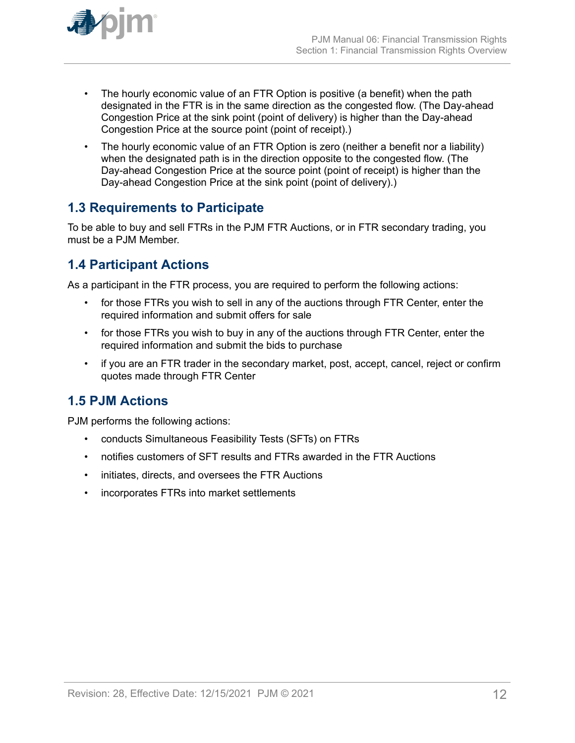<span id="page-11-0"></span>

- The hourly economic value of an FTR Option is positive (a benefit) when the path designated in the FTR is in the same direction as the congested flow. (The Day-ahead Congestion Price at the sink point (point of delivery) is higher than the Day-ahead Congestion Price at the source point (point of receipt).)
- The hourly economic value of an FTR Option is zero (neither a benefit nor a liability) when the designated path is in the direction opposite to the congested flow. (The Day-ahead Congestion Price at the source point (point of receipt) is higher than the Day-ahead Congestion Price at the sink point (point of delivery).)

# **1.3 Requirements to Participate**

To be able to buy and sell FTRs in the PJM FTR Auctions, or in FTR secondary trading, you must be a PJM Member.

# **1.4 Participant Actions**

As a participant in the FTR process, you are required to perform the following actions:

- for those FTRs you wish to sell in any of the auctions through FTR Center, enter the required information and submit offers for sale
- for those FTRs you wish to buy in any of the auctions through FTR Center, enter the required information and submit the bids to purchase
- if you are an FTR trader in the secondary market, post, accept, cancel, reject or confirm quotes made through FTR Center

# **1.5 PJM Actions**

PJM performs the following actions:

- conducts Simultaneous Feasibility Tests (SFTs) on FTRs
- notifies customers of SFT results and FTRs awarded in the FTR Auctions
- initiates, directs, and oversees the FTR Auctions
- incorporates FTRs into market settlements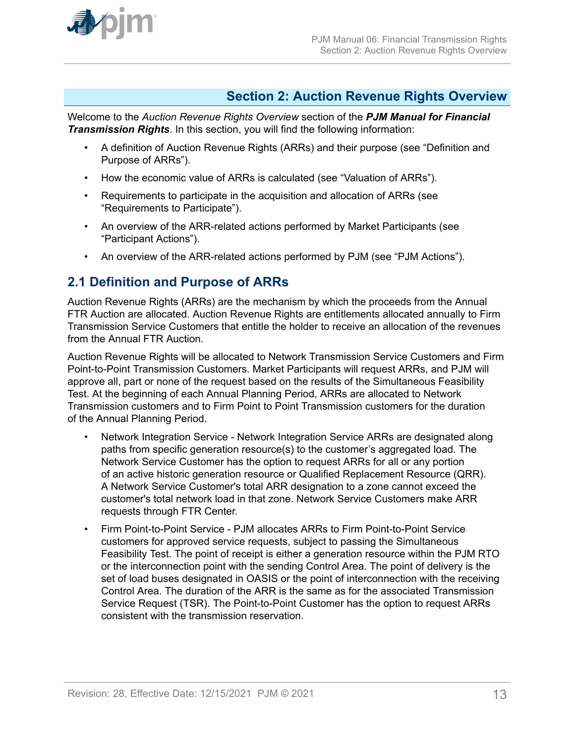<span id="page-12-0"></span>

### **Section 2: Auction Revenue Rights Overview**

Welcome to the *Auction Revenue Rights Overview* section of the *PJM Manual for Financial Transmission Rights*. In this section, you will find the following information:

- A definition of Auction Revenue Rights (ARRs) and their purpose (see "Definition and Purpose of ARRs").
- How the economic value of ARRs is calculated (see "Valuation of ARRs").
- Requirements to participate in the acquisition and allocation of ARRs (see "Requirements to Participate").
- An overview of the ARR-related actions performed by Market Participants (see "Participant Actions").
- An overview of the ARR-related actions performed by PJM (see "PJM Actions").

### **2.1 Definition and Purpose of ARRs**

Auction Revenue Rights (ARRs) are the mechanism by which the proceeds from the Annual FTR Auction are allocated. Auction Revenue Rights are entitlements allocated annually to Firm Transmission Service Customers that entitle the holder to receive an allocation of the revenues from the Annual FTR Auction.

Auction Revenue Rights will be allocated to Network Transmission Service Customers and Firm Point-to-Point Transmission Customers. Market Participants will request ARRs, and PJM will approve all, part or none of the request based on the results of the Simultaneous Feasibility Test. At the beginning of each Annual Planning Period, ARRs are allocated to Network Transmission customers and to Firm Point to Point Transmission customers for the duration of the Annual Planning Period.

- Network Integration Service Network Integration Service ARRs are designated along paths from specific generation resource(s) to the customer's aggregated load. The Network Service Customer has the option to request ARRs for all or any portion of an active historic generation resource or Qualified Replacement Resource (QRR). A Network Service Customer's total ARR designation to a zone cannot exceed the customer's total network load in that zone. Network Service Customers make ARR requests through FTR Center.
- Firm Point-to-Point Service PJM allocates ARRs to Firm Point-to-Point Service customers for approved service requests, subject to passing the Simultaneous Feasibility Test. The point of receipt is either a generation resource within the PJM RTO or the interconnection point with the sending Control Area. The point of delivery is the set of load buses designated in OASIS or the point of interconnection with the receiving Control Area. The duration of the ARR is the same as for the associated Transmission Service Request (TSR). The Point-to-Point Customer has the option to request ARRs consistent with the transmission reservation.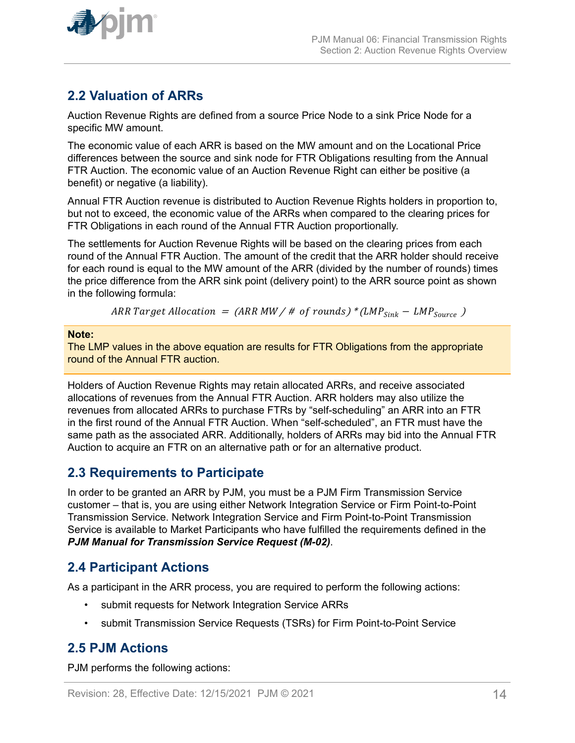<span id="page-13-0"></span>

# **2.2 Valuation of ARRs**

Auction Revenue Rights are defined from a source Price Node to a sink Price Node for a specific MW amount.

The economic value of each ARR is based on the MW amount and on the Locational Price differences between the source and sink node for FTR Obligations resulting from the Annual FTR Auction. The economic value of an Auction Revenue Right can either be positive (a benefit) or negative (a liability).

Annual FTR Auction revenue is distributed to Auction Revenue Rights holders in proportion to, but not to exceed, the economic value of the ARRs when compared to the clearing prices for FTR Obligations in each round of the Annual FTR Auction proportionally.

The settlements for Auction Revenue Rights will be based on the clearing prices from each round of the Annual FTR Auction. The amount of the credit that the ARR holder should receive for each round is equal to the MW amount of the ARR (divided by the number of rounds) times the price difference from the ARR sink point (delivery point) to the ARR source point as shown in the following formula:

ARR Target Allocation =  $(ARR MW / # of rounds)*(LMP<sub>Sink</sub> - LMP<sub>Source</sub>)$ 

#### **Note:**

The LMP values in the above equation are results for FTR Obligations from the appropriate round of the Annual FTR auction.

Holders of Auction Revenue Rights may retain allocated ARRs, and receive associated allocations of revenues from the Annual FTR Auction. ARR holders may also utilize the revenues from allocated ARRs to purchase FTRs by "self-scheduling" an ARR into an FTR in the first round of the Annual FTR Auction. When "self-scheduled", an FTR must have the same path as the associated ARR. Additionally, holders of ARRs may bid into the Annual FTR Auction to acquire an FTR on an alternative path or for an alternative product.

### **2.3 Requirements to Participate**

In order to be granted an ARR by PJM, you must be a PJM Firm Transmission Service customer – that is, you are using either Network Integration Service or Firm Point-to-Point Transmission Service. Network Integration Service and Firm Point-to-Point Transmission Service is available to Market Participants who have fulfilled the requirements defined in the *PJM Manual for Transmission Service Request (M-02)*.

### **2.4 Participant Actions**

As a participant in the ARR process, you are required to perform the following actions:

- submit requests for Network Integration Service ARRs
- submit Transmission Service Requests (TSRs) for Firm Point-to-Point Service

### **2.5 PJM Actions**

PJM performs the following actions: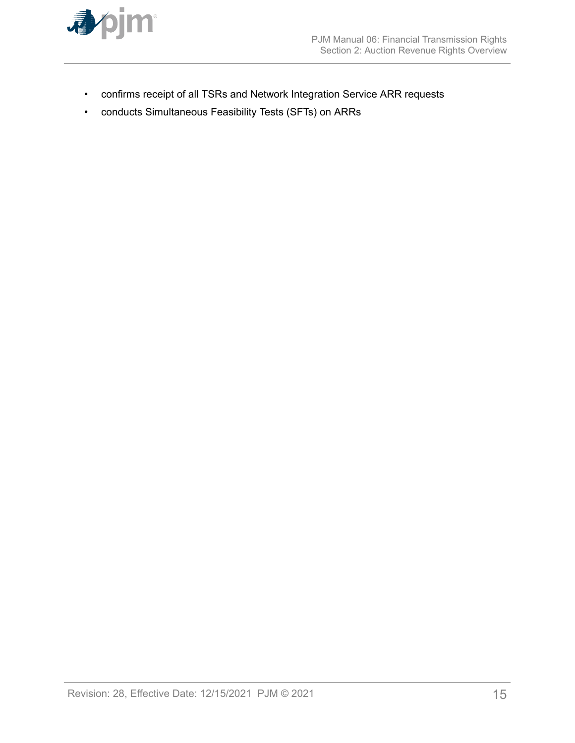

- confirms receipt of all TSRs and Network Integration Service ARR requests
- conducts Simultaneous Feasibility Tests (SFTs) on ARRs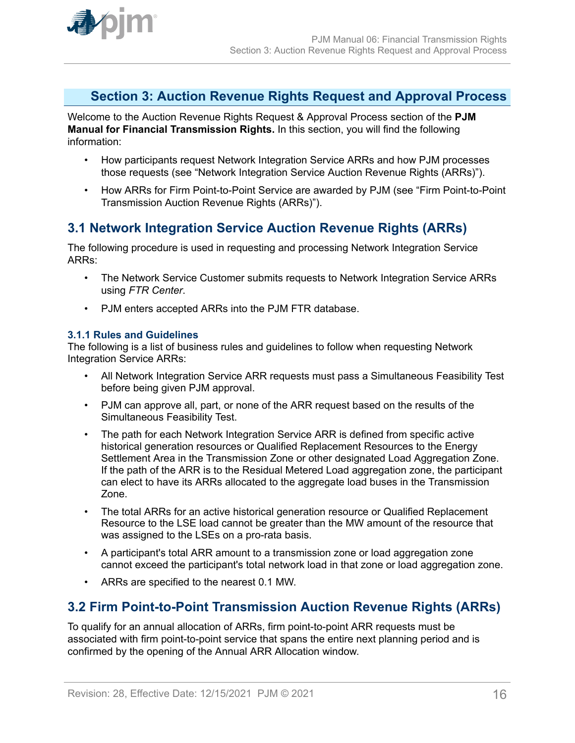<span id="page-15-0"></span>

### **Section 3: Auction Revenue Rights Request and Approval Process**

Welcome to the Auction Revenue Rights Request & Approval Process section of the **PJM Manual for Financial Transmission Rights.** In this section, you will find the following information:

- How participants request Network Integration Service ARRs and how PJM processes those requests (see "Network Integration Service Auction Revenue Rights (ARRs)").
- How ARRs for Firm Point-to-Point Service are awarded by PJM (see "Firm Point-to-Point Transmission Auction Revenue Rights (ARRs)").

# **3.1 Network Integration Service Auction Revenue Rights (ARRs)**

The following procedure is used in requesting and processing Network Integration Service ARRs:

- The Network Service Customer submits requests to Network Integration Service ARRs using *FTR Center*.
- PJM enters accepted ARRs into the PJM FTR database.

### **3.1.1 Rules and Guidelines**

The following is a list of business rules and guidelines to follow when requesting Network Integration Service ARRs:

- All Network Integration Service ARR requests must pass a Simultaneous Feasibility Test before being given PJM approval.
- PJM can approve all, part, or none of the ARR request based on the results of the Simultaneous Feasibility Test.
- The path for each Network Integration Service ARR is defined from specific active historical generation resources or Qualified Replacement Resources to the Energy Settlement Area in the Transmission Zone or other designated Load Aggregation Zone. If the path of the ARR is to the Residual Metered Load aggregation zone, the participant can elect to have its ARRs allocated to the aggregate load buses in the Transmission Zone.
- The total ARRs for an active historical generation resource or Qualified Replacement Resource to the LSE load cannot be greater than the MW amount of the resource that was assigned to the LSEs on a pro-rata basis.
- A participant's total ARR amount to a transmission zone or load aggregation zone cannot exceed the participant's total network load in that zone or load aggregation zone.
- ARRs are specified to the nearest 0.1 MW.

### **3.2 Firm Point-to-Point Transmission Auction Revenue Rights (ARRs)**

To qualify for an annual allocation of ARRs, firm point-to-point ARR requests must be associated with firm point-to-point service that spans the entire next planning period and is confirmed by the opening of the Annual ARR Allocation window.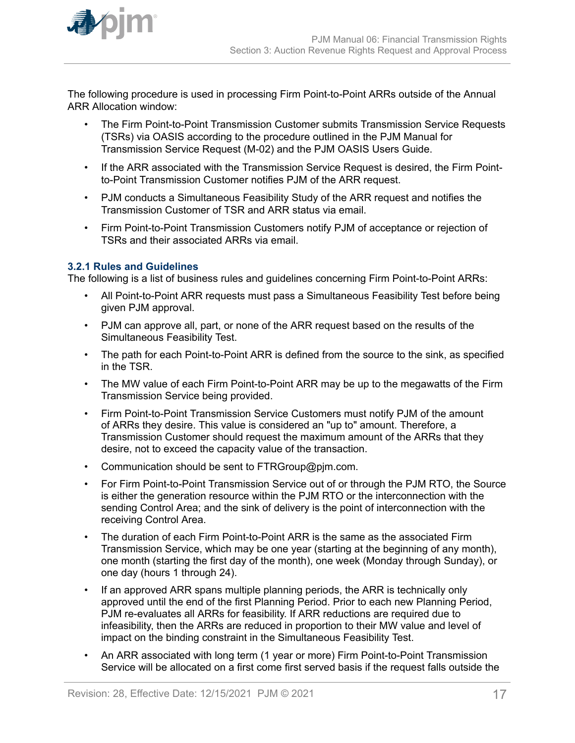<span id="page-16-0"></span>

The following procedure is used in processing Firm Point-to-Point ARRs outside of the Annual ARR Allocation window:

- The Firm Point-to-Point Transmission Customer submits Transmission Service Requests (TSRs) via OASIS according to the procedure outlined in the PJM Manual for Transmission Service Request (M-02) and the PJM OASIS Users Guide.
- If the ARR associated with the Transmission Service Request is desired, the Firm Pointto-Point Transmission Customer notifies PJM of the ARR request.
- PJM conducts a Simultaneous Feasibility Study of the ARR request and notifies the Transmission Customer of TSR and ARR status via email.
- Firm Point-to-Point Transmission Customers notify PJM of acceptance or rejection of TSRs and their associated ARRs via email.

### **3.2.1 Rules and Guidelines**

The following is a list of business rules and guidelines concerning Firm Point-to-Point ARRs:

- All Point-to-Point ARR requests must pass a Simultaneous Feasibility Test before being given PJM approval.
- PJM can approve all, part, or none of the ARR request based on the results of the Simultaneous Feasibility Test.
- The path for each Point-to-Point ARR is defined from the source to the sink, as specified in the TSR.
- The MW value of each Firm Point-to-Point ARR may be up to the megawatts of the Firm Transmission Service being provided.
- Firm Point-to-Point Transmission Service Customers must notify PJM of the amount of ARRs they desire. This value is considered an "up to" amount. Therefore, a Transmission Customer should request the maximum amount of the ARRs that they desire, not to exceed the capacity value of the transaction.
- Communication should be sent to FTRGroup@pjm.com.
- For Firm Point-to-Point Transmission Service out of or through the PJM RTO, the Source is either the generation resource within the PJM RTO or the interconnection with the sending Control Area; and the sink of delivery is the point of interconnection with the receiving Control Area.
- The duration of each Firm Point-to-Point ARR is the same as the associated Firm Transmission Service, which may be one year (starting at the beginning of any month), one month (starting the first day of the month), one week (Monday through Sunday), or one day (hours 1 through 24).
- If an approved ARR spans multiple planning periods, the ARR is technically only approved until the end of the first Planning Period. Prior to each new Planning Period, PJM re-evaluates all ARRs for feasibility. If ARR reductions are required due to infeasibility, then the ARRs are reduced in proportion to their MW value and level of impact on the binding constraint in the Simultaneous Feasibility Test.
- An ARR associated with long term (1 year or more) Firm Point-to-Point Transmission Service will be allocated on a first come first served basis if the request falls outside the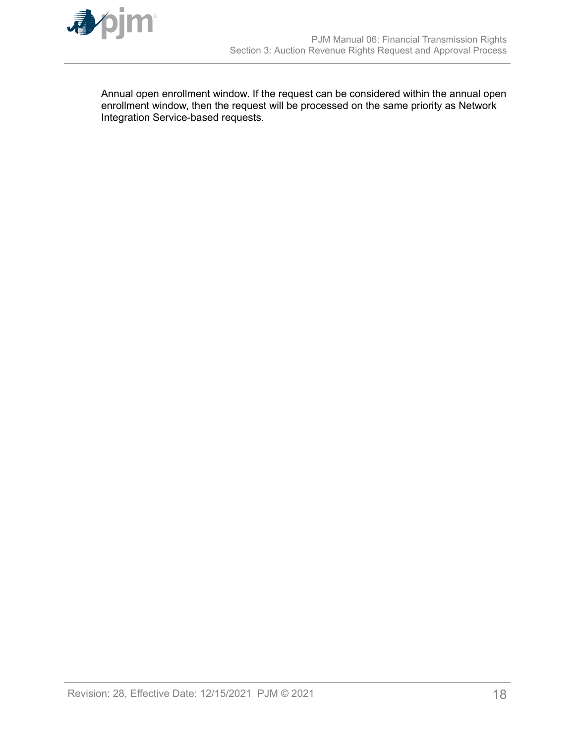

Annual open enrollment window. If the request can be considered within the annual open enrollment window, then the request will be processed on the same priority as Network Integration Service-based requests.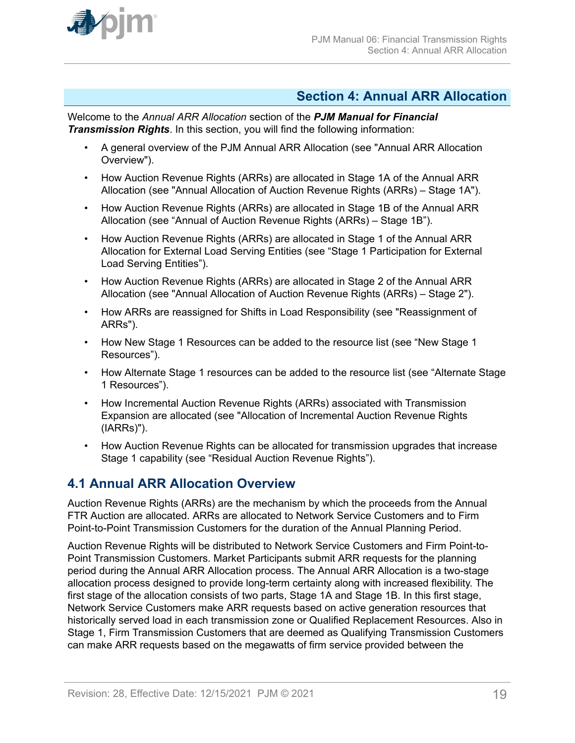<span id="page-18-0"></span>

### **Section 4: Annual ARR Allocation**

Welcome to the *Annual ARR Allocation* section of the *PJM Manual for Financial Transmission Rights*. In this section, you will find the following information:

- A general overview of the PJM Annual ARR Allocation (see "Annual ARR Allocation Overview").
- How Auction Revenue Rights (ARRs) are allocated in Stage 1A of the Annual ARR Allocation (see "Annual Allocation of Auction Revenue Rights (ARRs) – Stage 1A").
- How Auction Revenue Rights (ARRs) are allocated in Stage 1B of the Annual ARR Allocation (see "Annual of Auction Revenue Rights (ARRs) – Stage 1B").
- How Auction Revenue Rights (ARRs) are allocated in Stage 1 of the Annual ARR Allocation for External Load Serving Entities (see "Stage 1 Participation for External Load Serving Entities").
- How Auction Revenue Rights (ARRs) are allocated in Stage 2 of the Annual ARR Allocation (see "Annual Allocation of Auction Revenue Rights (ARRs) – Stage 2").
- How ARRs are reassigned for Shifts in Load Responsibility (see "Reassignment of ARRs").
- How New Stage 1 Resources can be added to the resource list (see "New Stage 1 Resources").
- How Alternate Stage 1 resources can be added to the resource list (see "Alternate Stage 1 Resources").
- How Incremental Auction Revenue Rights (ARRs) associated with Transmission Expansion are allocated (see "Allocation of Incremental Auction Revenue Rights (IARRs)").
- How Auction Revenue Rights can be allocated for transmission upgrades that increase Stage 1 capability (see "Residual Auction Revenue Rights").

### **4.1 Annual ARR Allocation Overview**

Auction Revenue Rights (ARRs) are the mechanism by which the proceeds from the Annual FTR Auction are allocated. ARRs are allocated to Network Service Customers and to Firm Point-to-Point Transmission Customers for the duration of the Annual Planning Period.

Auction Revenue Rights will be distributed to Network Service Customers and Firm Point-to-Point Transmission Customers. Market Participants submit ARR requests for the planning period during the Annual ARR Allocation process. The Annual ARR Allocation is a two-stage allocation process designed to provide long-term certainty along with increased flexibility. The first stage of the allocation consists of two parts, Stage 1A and Stage 1B. In this first stage, Network Service Customers make ARR requests based on active generation resources that historically served load in each transmission zone or Qualified Replacement Resources. Also in Stage 1, Firm Transmission Customers that are deemed as Qualifying Transmission Customers can make ARR requests based on the megawatts of firm service provided between the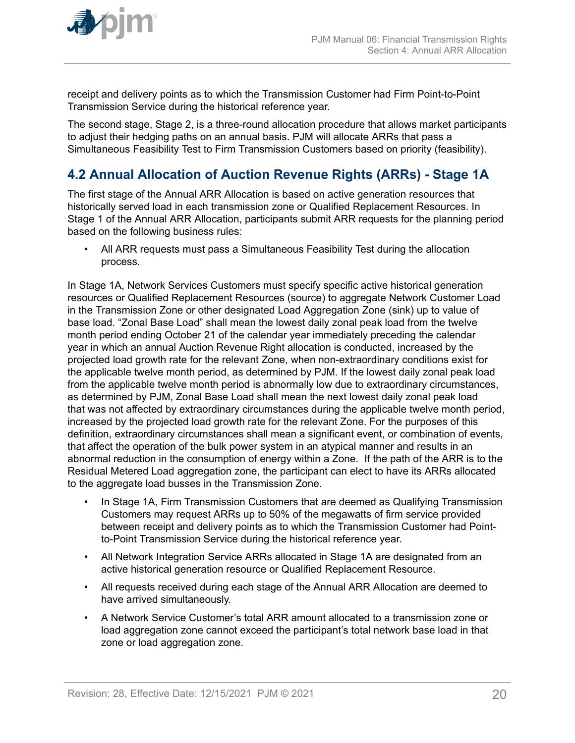<span id="page-19-0"></span>

receipt and delivery points as to which the Transmission Customer had Firm Point-to-Point Transmission Service during the historical reference year.

The second stage, Stage 2, is a three-round allocation procedure that allows market participants to adjust their hedging paths on an annual basis. PJM will allocate ARRs that pass a Simultaneous Feasibility Test to Firm Transmission Customers based on priority (feasibility).

# **4.2 Annual Allocation of Auction Revenue Rights (ARRs) - Stage 1A**

The first stage of the Annual ARR Allocation is based on active generation resources that historically served load in each transmission zone or Qualified Replacement Resources. In Stage 1 of the Annual ARR Allocation, participants submit ARR requests for the planning period based on the following business rules:

• All ARR requests must pass a Simultaneous Feasibility Test during the allocation process.

In Stage 1A, Network Services Customers must specify specific active historical generation resources or Qualified Replacement Resources (source) to aggregate Network Customer Load in the Transmission Zone or other designated Load Aggregation Zone (sink) up to value of base load. "Zonal Base Load" shall mean the lowest daily zonal peak load from the twelve month period ending October 21 of the calendar year immediately preceding the calendar year in which an annual Auction Revenue Right allocation is conducted, increased by the projected load growth rate for the relevant Zone, when non-extraordinary conditions exist for the applicable twelve month period, as determined by PJM. If the lowest daily zonal peak load from the applicable twelve month period is abnormally low due to extraordinary circumstances, as determined by PJM, Zonal Base Load shall mean the next lowest daily zonal peak load that was not affected by extraordinary circumstances during the applicable twelve month period, increased by the projected load growth rate for the relevant Zone. For the purposes of this definition, extraordinary circumstances shall mean a significant event, or combination of events, that affect the operation of the bulk power system in an atypical manner and results in an abnormal reduction in the consumption of energy within a Zone. If the path of the ARR is to the Residual Metered Load aggregation zone, the participant can elect to have its ARRs allocated to the aggregate load busses in the Transmission Zone.

- In Stage 1A, Firm Transmission Customers that are deemed as Qualifying Transmission Customers may request ARRs up to 50% of the megawatts of firm service provided between receipt and delivery points as to which the Transmission Customer had Pointto-Point Transmission Service during the historical reference year.
- All Network Integration Service ARRs allocated in Stage 1A are designated from an active historical generation resource or Qualified Replacement Resource.
- All requests received during each stage of the Annual ARR Allocation are deemed to have arrived simultaneously.
- A Network Service Customer's total ARR amount allocated to a transmission zone or load aggregation zone cannot exceed the participant's total network base load in that zone or load aggregation zone.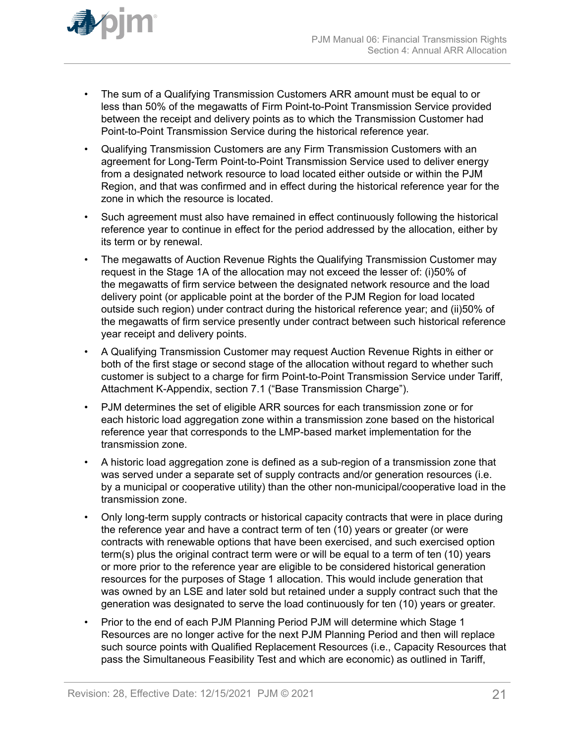

- The sum of a Qualifying Transmission Customers ARR amount must be equal to or less than 50% of the megawatts of Firm Point-to-Point Transmission Service provided between the receipt and delivery points as to which the Transmission Customer had Point-to-Point Transmission Service during the historical reference year.
- Qualifying Transmission Customers are any Firm Transmission Customers with an agreement for Long-Term Point-to-Point Transmission Service used to deliver energy from a designated network resource to load located either outside or within the PJM Region, and that was confirmed and in effect during the historical reference year for the zone in which the resource is located.
- Such agreement must also have remained in effect continuously following the historical reference year to continue in effect for the period addressed by the allocation, either by its term or by renewal.
- The megawatts of Auction Revenue Rights the Qualifying Transmission Customer may request in the Stage 1A of the allocation may not exceed the lesser of: (i)50% of the megawatts of firm service between the designated network resource and the load delivery point (or applicable point at the border of the PJM Region for load located outside such region) under contract during the historical reference year; and (ii)50% of the megawatts of firm service presently under contract between such historical reference year receipt and delivery points.
- A Qualifying Transmission Customer may request Auction Revenue Rights in either or both of the first stage or second stage of the allocation without regard to whether such customer is subject to a charge for firm Point-to-Point Transmission Service under Tariff, Attachment K-Appendix, section 7.1 ("Base Transmission Charge").
- PJM determines the set of eligible ARR sources for each transmission zone or for each historic load aggregation zone within a transmission zone based on the historical reference year that corresponds to the LMP-based market implementation for the transmission zone.
- A historic load aggregation zone is defined as a sub-region of a transmission zone that was served under a separate set of supply contracts and/or generation resources (i.e. by a municipal or cooperative utility) than the other non-municipal/cooperative load in the transmission zone.
- Only long-term supply contracts or historical capacity contracts that were in place during the reference year and have a contract term of ten (10) years or greater (or were contracts with renewable options that have been exercised, and such exercised option term(s) plus the original contract term were or will be equal to a term of ten (10) years or more prior to the reference year are eligible to be considered historical generation resources for the purposes of Stage 1 allocation. This would include generation that was owned by an LSE and later sold but retained under a supply contract such that the generation was designated to serve the load continuously for ten (10) years or greater.
- Prior to the end of each PJM Planning Period PJM will determine which Stage 1 Resources are no longer active for the next PJM Planning Period and then will replace such source points with Qualified Replacement Resources (i.e., Capacity Resources that pass the Simultaneous Feasibility Test and which are economic) as outlined in Tariff,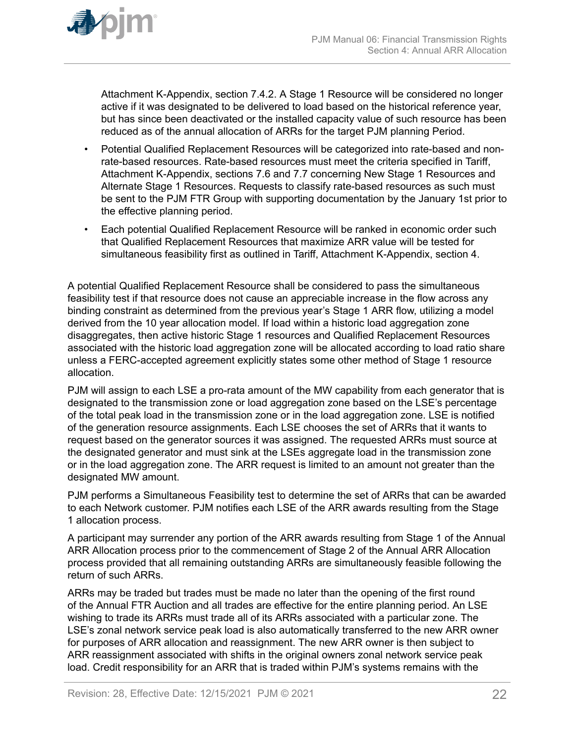

Attachment K-Appendix, section 7.4.2. A Stage 1 Resource will be considered no longer active if it was designated to be delivered to load based on the historical reference year, but has since been deactivated or the installed capacity value of such resource has been reduced as of the annual allocation of ARRs for the target PJM planning Period.

- Potential Qualified Replacement Resources will be categorized into rate-based and nonrate-based resources. Rate-based resources must meet the criteria specified in Tariff, Attachment K-Appendix, sections 7.6 and 7.7 concerning New Stage 1 Resources and Alternate Stage 1 Resources. Requests to classify rate-based resources as such must be sent to the PJM FTR Group with supporting documentation by the January 1st prior to the effective planning period.
- Each potential Qualified Replacement Resource will be ranked in economic order such that Qualified Replacement Resources that maximize ARR value will be tested for simultaneous feasibility first as outlined in Tariff, Attachment K-Appendix, section 4.

A potential Qualified Replacement Resource shall be considered to pass the simultaneous feasibility test if that resource does not cause an appreciable increase in the flow across any binding constraint as determined from the previous year's Stage 1 ARR flow, utilizing a model derived from the 10 year allocation model. If load within a historic load aggregation zone disaggregates, then active historic Stage 1 resources and Qualified Replacement Resources associated with the historic load aggregation zone will be allocated according to load ratio share unless a FERC-accepted agreement explicitly states some other method of Stage 1 resource allocation.

PJM will assign to each LSE a pro-rata amount of the MW capability from each generator that is designated to the transmission zone or load aggregation zone based on the LSE's percentage of the total peak load in the transmission zone or in the load aggregation zone. LSE is notified of the generation resource assignments. Each LSE chooses the set of ARRs that it wants to request based on the generator sources it was assigned. The requested ARRs must source at the designated generator and must sink at the LSEs aggregate load in the transmission zone or in the load aggregation zone. The ARR request is limited to an amount not greater than the designated MW amount.

PJM performs a Simultaneous Feasibility test to determine the set of ARRs that can be awarded to each Network customer. PJM notifies each LSE of the ARR awards resulting from the Stage 1 allocation process.

A participant may surrender any portion of the ARR awards resulting from Stage 1 of the Annual ARR Allocation process prior to the commencement of Stage 2 of the Annual ARR Allocation process provided that all remaining outstanding ARRs are simultaneously feasible following the return of such ARRs.

ARRs may be traded but trades must be made no later than the opening of the first round of the Annual FTR Auction and all trades are effective for the entire planning period. An LSE wishing to trade its ARRs must trade all of its ARRs associated with a particular zone. The LSE's zonal network service peak load is also automatically transferred to the new ARR owner for purposes of ARR allocation and reassignment. The new ARR owner is then subject to ARR reassignment associated with shifts in the original owners zonal network service peak load. Credit responsibility for an ARR that is traded within PJM's systems remains with the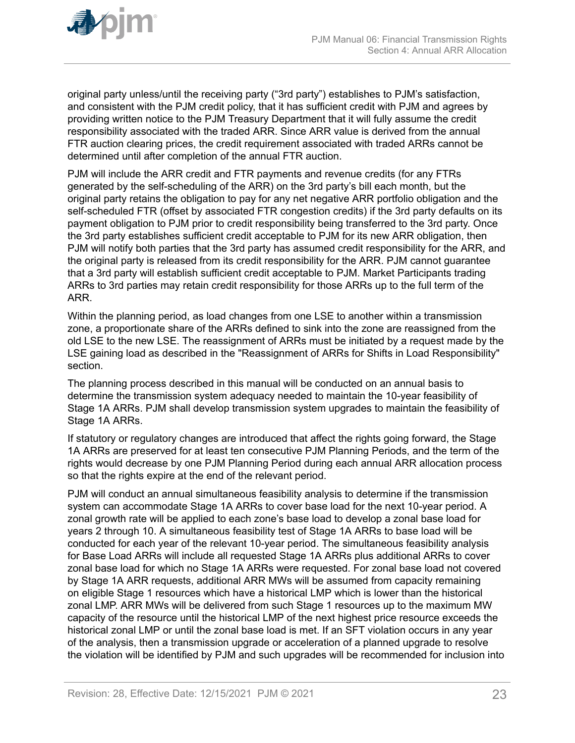original party unless/until the receiving party ("3rd party") establishes to PJM's satisfaction, and consistent with the PJM credit policy, that it has sufficient credit with PJM and agrees by providing written notice to the PJM Treasury Department that it will fully assume the credit responsibility associated with the traded ARR. Since ARR value is derived from the annual FTR auction clearing prices, the credit requirement associated with traded ARRs cannot be determined until after completion of the annual FTR auction.

PJM will include the ARR credit and FTR payments and revenue credits (for any FTRs generated by the self-scheduling of the ARR) on the 3rd party's bill each month, but the original party retains the obligation to pay for any net negative ARR portfolio obligation and the self-scheduled FTR (offset by associated FTR congestion credits) if the 3rd party defaults on its payment obligation to PJM prior to credit responsibility being transferred to the 3rd party. Once the 3rd party establishes sufficient credit acceptable to PJM for its new ARR obligation, then PJM will notify both parties that the 3rd party has assumed credit responsibility for the ARR, and the original party is released from its credit responsibility for the ARR. PJM cannot guarantee that a 3rd party will establish sufficient credit acceptable to PJM. Market Participants trading ARRs to 3rd parties may retain credit responsibility for those ARRs up to the full term of the ARR.

Within the planning period, as load changes from one LSE to another within a transmission zone, a proportionate share of the ARRs defined to sink into the zone are reassigned from the old LSE to the new LSE. The reassignment of ARRs must be initiated by a request made by the LSE gaining load as described in the "Reassignment of ARRs for Shifts in Load Responsibility" section.

The planning process described in this manual will be conducted on an annual basis to determine the transmission system adequacy needed to maintain the 10-year feasibility of Stage 1A ARRs. PJM shall develop transmission system upgrades to maintain the feasibility of Stage 1A ARRs.

If statutory or regulatory changes are introduced that affect the rights going forward, the Stage 1A ARRs are preserved for at least ten consecutive PJM Planning Periods, and the term of the rights would decrease by one PJM Planning Period during each annual ARR allocation process so that the rights expire at the end of the relevant period.

PJM will conduct an annual simultaneous feasibility analysis to determine if the transmission system can accommodate Stage 1A ARRs to cover base load for the next 10-year period. A zonal growth rate will be applied to each zone's base load to develop a zonal base load for years 2 through 10. A simultaneous feasibility test of Stage 1A ARRs to base load will be conducted for each year of the relevant 10-year period. The simultaneous feasibility analysis for Base Load ARRs will include all requested Stage 1A ARRs plus additional ARRs to cover zonal base load for which no Stage 1A ARRs were requested. For zonal base load not covered by Stage 1A ARR requests, additional ARR MWs will be assumed from capacity remaining on eligible Stage 1 resources which have a historical LMP which is lower than the historical zonal LMP. ARR MWs will be delivered from such Stage 1 resources up to the maximum MW capacity of the resource until the historical LMP of the next highest price resource exceeds the historical zonal LMP or until the zonal base load is met. If an SFT violation occurs in any year of the analysis, then a transmission upgrade or acceleration of a planned upgrade to resolve the violation will be identified by PJM and such upgrades will be recommended for inclusion into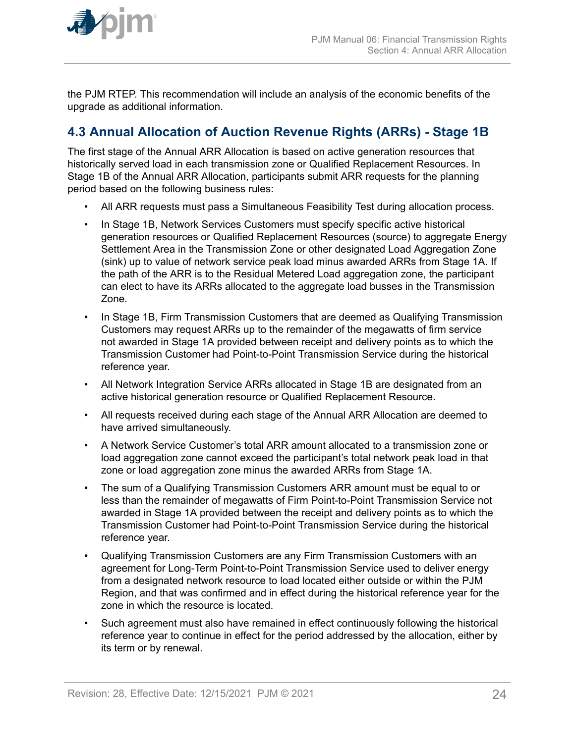<span id="page-23-0"></span>

the PJM RTEP. This recommendation will include an analysis of the economic benefits of the upgrade as additional information.

# **4.3 Annual Allocation of Auction Revenue Rights (ARRs) - Stage 1B**

The first stage of the Annual ARR Allocation is based on active generation resources that historically served load in each transmission zone or Qualified Replacement Resources. In Stage 1B of the Annual ARR Allocation, participants submit ARR requests for the planning period based on the following business rules:

- All ARR requests must pass a Simultaneous Feasibility Test during allocation process.
- In Stage 1B, Network Services Customers must specify specific active historical generation resources or Qualified Replacement Resources (source) to aggregate Energy Settlement Area in the Transmission Zone or other designated Load Aggregation Zone (sink) up to value of network service peak load minus awarded ARRs from Stage 1A. If the path of the ARR is to the Residual Metered Load aggregation zone, the participant can elect to have its ARRs allocated to the aggregate load busses in the Transmission Zone.
- In Stage 1B, Firm Transmission Customers that are deemed as Qualifying Transmission Customers may request ARRs up to the remainder of the megawatts of firm service not awarded in Stage 1A provided between receipt and delivery points as to which the Transmission Customer had Point-to-Point Transmission Service during the historical reference year.
- All Network Integration Service ARRs allocated in Stage 1B are designated from an active historical generation resource or Qualified Replacement Resource.
- All requests received during each stage of the Annual ARR Allocation are deemed to have arrived simultaneously.
- A Network Service Customer's total ARR amount allocated to a transmission zone or load aggregation zone cannot exceed the participant's total network peak load in that zone or load aggregation zone minus the awarded ARRs from Stage 1A.
- The sum of a Qualifying Transmission Customers ARR amount must be equal to or less than the remainder of megawatts of Firm Point-to-Point Transmission Service not awarded in Stage 1A provided between the receipt and delivery points as to which the Transmission Customer had Point-to-Point Transmission Service during the historical reference year.
- Qualifying Transmission Customers are any Firm Transmission Customers with an agreement for Long-Term Point-to-Point Transmission Service used to deliver energy from a designated network resource to load located either outside or within the PJM Region, and that was confirmed and in effect during the historical reference year for the zone in which the resource is located.
- Such agreement must also have remained in effect continuously following the historical reference year to continue in effect for the period addressed by the allocation, either by its term or by renewal.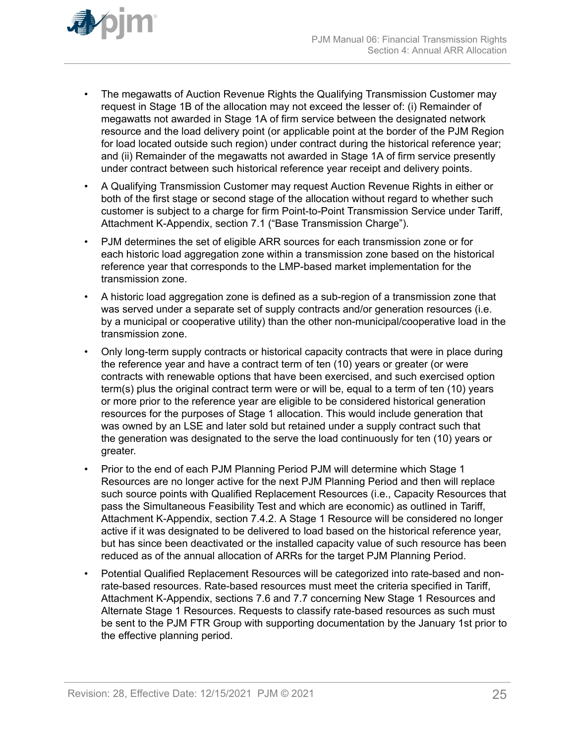

- The megawatts of Auction Revenue Rights the Qualifying Transmission Customer may request in Stage 1B of the allocation may not exceed the lesser of: (i) Remainder of megawatts not awarded in Stage 1A of firm service between the designated network resource and the load delivery point (or applicable point at the border of the PJM Region for load located outside such region) under contract during the historical reference year; and (ii) Remainder of the megawatts not awarded in Stage 1A of firm service presently under contract between such historical reference year receipt and delivery points.
- A Qualifying Transmission Customer may request Auction Revenue Rights in either or both of the first stage or second stage of the allocation without regard to whether such customer is subject to a charge for firm Point-to-Point Transmission Service under Tariff, Attachment K-Appendix, section 7.1 ("Base Transmission Charge").
- PJM determines the set of eligible ARR sources for each transmission zone or for each historic load aggregation zone within a transmission zone based on the historical reference year that corresponds to the LMP-based market implementation for the transmission zone.
- A historic load aggregation zone is defined as a sub-region of a transmission zone that was served under a separate set of supply contracts and/or generation resources (i.e. by a municipal or cooperative utility) than the other non-municipal/cooperative load in the transmission zone.
- Only long-term supply contracts or historical capacity contracts that were in place during the reference year and have a contract term of ten (10) years or greater (or were contracts with renewable options that have been exercised, and such exercised option term(s) plus the original contract term were or will be, equal to a term of ten (10) years or more prior to the reference year are eligible to be considered historical generation resources for the purposes of Stage 1 allocation. This would include generation that was owned by an LSE and later sold but retained under a supply contract such that the generation was designated to the serve the load continuously for ten (10) years or greater.
- Prior to the end of each PJM Planning Period PJM will determine which Stage 1 Resources are no longer active for the next PJM Planning Period and then will replace such source points with Qualified Replacement Resources (i.e., Capacity Resources that pass the Simultaneous Feasibility Test and which are economic) as outlined in Tariff, Attachment K-Appendix, section 7.4.2. A Stage 1 Resource will be considered no longer active if it was designated to be delivered to load based on the historical reference year, but has since been deactivated or the installed capacity value of such resource has been reduced as of the annual allocation of ARRs for the target PJM Planning Period.
- Potential Qualified Replacement Resources will be categorized into rate-based and nonrate-based resources. Rate-based resources must meet the criteria specified in Tariff, Attachment K-Appendix, sections 7.6 and 7.7 concerning New Stage 1 Resources and Alternate Stage 1 Resources. Requests to classify rate-based resources as such must be sent to the PJM FTR Group with supporting documentation by the January 1st prior to the effective planning period.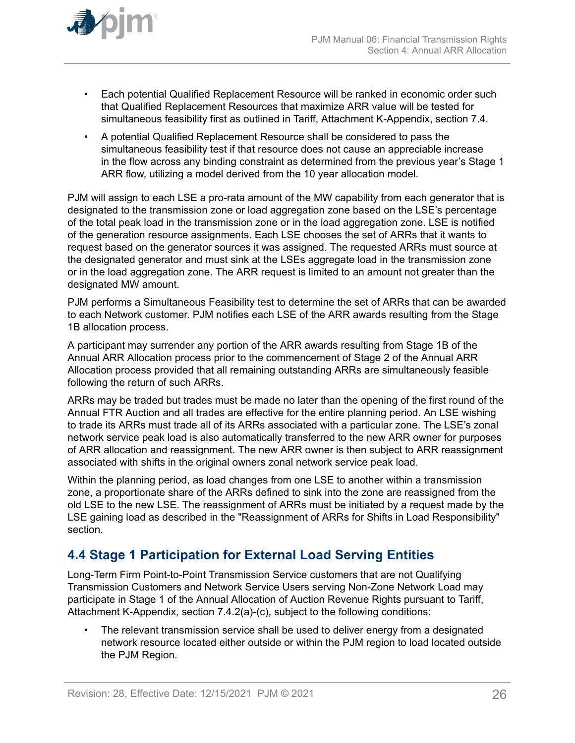<span id="page-25-0"></span>

- Each potential Qualified Replacement Resource will be ranked in economic order such that Qualified Replacement Resources that maximize ARR value will be tested for simultaneous feasibility first as outlined in Tariff, Attachment K-Appendix, section 7.4.
- A potential Qualified Replacement Resource shall be considered to pass the simultaneous feasibility test if that resource does not cause an appreciable increase in the flow across any binding constraint as determined from the previous year's Stage 1 ARR flow, utilizing a model derived from the 10 year allocation model.

PJM will assign to each LSE a pro-rata amount of the MW capability from each generator that is designated to the transmission zone or load aggregation zone based on the LSE's percentage of the total peak load in the transmission zone or in the load aggregation zone. LSE is notified of the generation resource assignments. Each LSE chooses the set of ARRs that it wants to request based on the generator sources it was assigned. The requested ARRs must source at the designated generator and must sink at the LSEs aggregate load in the transmission zone or in the load aggregation zone. The ARR request is limited to an amount not greater than the designated MW amount.

PJM performs a Simultaneous Feasibility test to determine the set of ARRs that can be awarded to each Network customer. PJM notifies each LSE of the ARR awards resulting from the Stage 1B allocation process.

A participant may surrender any portion of the ARR awards resulting from Stage 1B of the Annual ARR Allocation process prior to the commencement of Stage 2 of the Annual ARR Allocation process provided that all remaining outstanding ARRs are simultaneously feasible following the return of such ARRs.

ARRs may be traded but trades must be made no later than the opening of the first round of the Annual FTR Auction and all trades are effective for the entire planning period. An LSE wishing to trade its ARRs must trade all of its ARRs associated with a particular zone. The LSE's zonal network service peak load is also automatically transferred to the new ARR owner for purposes of ARR allocation and reassignment. The new ARR owner is then subject to ARR reassignment associated with shifts in the original owners zonal network service peak load.

Within the planning period, as load changes from one LSE to another within a transmission zone, a proportionate share of the ARRs defined to sink into the zone are reassigned from the old LSE to the new LSE. The reassignment of ARRs must be initiated by a request made by the LSE gaining load as described in the "Reassignment of ARRs for Shifts in Load Responsibility" section.

# **4.4 Stage 1 Participation for External Load Serving Entities**

Long-Term Firm Point-to-Point Transmission Service customers that are not Qualifying Transmission Customers and Network Service Users serving Non-Zone Network Load may participate in Stage 1 of the Annual Allocation of Auction Revenue Rights pursuant to Tariff, Attachment K-Appendix, section 7.4.2(a)-(c), subject to the following conditions:

The relevant transmission service shall be used to deliver energy from a designated network resource located either outside or within the PJM region to load located outside the PJM Region.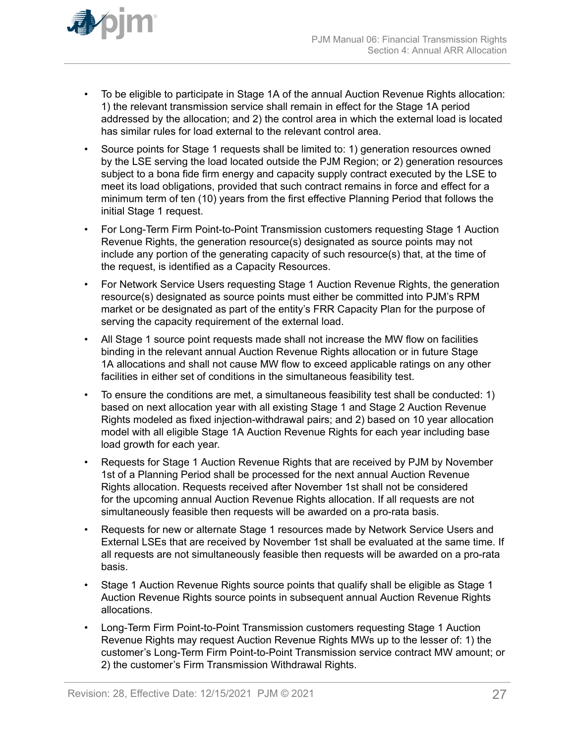

- To be eligible to participate in Stage 1A of the annual Auction Revenue Rights allocation: 1) the relevant transmission service shall remain in effect for the Stage 1A period addressed by the allocation; and 2) the control area in which the external load is located has similar rules for load external to the relevant control area.
- Source points for Stage 1 requests shall be limited to: 1) generation resources owned by the LSE serving the load located outside the PJM Region; or 2) generation resources subject to a bona fide firm energy and capacity supply contract executed by the LSE to meet its load obligations, provided that such contract remains in force and effect for a minimum term of ten (10) years from the first effective Planning Period that follows the initial Stage 1 request.
- For Long-Term Firm Point-to-Point Transmission customers requesting Stage 1 Auction Revenue Rights, the generation resource(s) designated as source points may not include any portion of the generating capacity of such resource(s) that, at the time of the request, is identified as a Capacity Resources.
- For Network Service Users requesting Stage 1 Auction Revenue Rights, the generation resource(s) designated as source points must either be committed into PJM's RPM market or be designated as part of the entity's FRR Capacity Plan for the purpose of serving the capacity requirement of the external load.
- All Stage 1 source point requests made shall not increase the MW flow on facilities binding in the relevant annual Auction Revenue Rights allocation or in future Stage 1A allocations and shall not cause MW flow to exceed applicable ratings on any other facilities in either set of conditions in the simultaneous feasibility test.
- To ensure the conditions are met, a simultaneous feasibility test shall be conducted: 1) based on next allocation year with all existing Stage 1 and Stage 2 Auction Revenue Rights modeled as fixed injection-withdrawal pairs; and 2) based on 10 year allocation model with all eligible Stage 1A Auction Revenue Rights for each year including base load growth for each year.
- Requests for Stage 1 Auction Revenue Rights that are received by PJM by November 1st of a Planning Period shall be processed for the next annual Auction Revenue Rights allocation. Requests received after November 1st shall not be considered for the upcoming annual Auction Revenue Rights allocation. If all requests are not simultaneously feasible then requests will be awarded on a pro-rata basis.
- Requests for new or alternate Stage 1 resources made by Network Service Users and External LSEs that are received by November 1st shall be evaluated at the same time. If all requests are not simultaneously feasible then requests will be awarded on a pro-rata basis.
- Stage 1 Auction Revenue Rights source points that qualify shall be eligible as Stage 1 Auction Revenue Rights source points in subsequent annual Auction Revenue Rights allocations.
- Long-Term Firm Point-to-Point Transmission customers requesting Stage 1 Auction Revenue Rights may request Auction Revenue Rights MWs up to the lesser of: 1) the customer's Long-Term Firm Point-to-Point Transmission service contract MW amount; or 2) the customer's Firm Transmission Withdrawal Rights.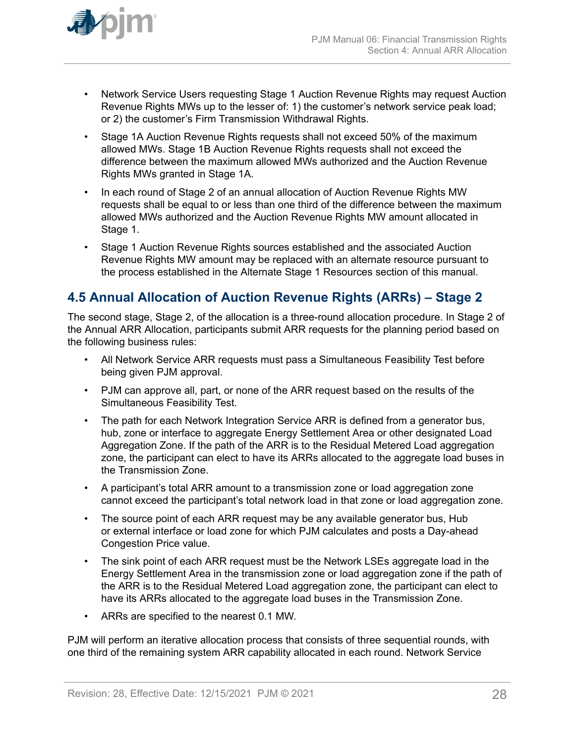<span id="page-27-0"></span>

- Network Service Users requesting Stage 1 Auction Revenue Rights may request Auction Revenue Rights MWs up to the lesser of: 1) the customer's network service peak load; or 2) the customer's Firm Transmission Withdrawal Rights.
- Stage 1A Auction Revenue Rights requests shall not exceed 50% of the maximum allowed MWs. Stage 1B Auction Revenue Rights requests shall not exceed the difference between the maximum allowed MWs authorized and the Auction Revenue Rights MWs granted in Stage 1A.
- In each round of Stage 2 of an annual allocation of Auction Revenue Rights MW requests shall be equal to or less than one third of the difference between the maximum allowed MWs authorized and the Auction Revenue Rights MW amount allocated in Stage 1.
- Stage 1 Auction Revenue Rights sources established and the associated Auction Revenue Rights MW amount may be replaced with an alternate resource pursuant to the process established in the Alternate Stage 1 Resources section of this manual.

# **4.5 Annual Allocation of Auction Revenue Rights (ARRs) – Stage 2**

The second stage, Stage 2, of the allocation is a three-round allocation procedure. In Stage 2 of the Annual ARR Allocation, participants submit ARR requests for the planning period based on the following business rules:

- All Network Service ARR requests must pass a Simultaneous Feasibility Test before being given PJM approval.
- PJM can approve all, part, or none of the ARR request based on the results of the Simultaneous Feasibility Test.
- The path for each Network Integration Service ARR is defined from a generator bus, hub, zone or interface to aggregate Energy Settlement Area or other designated Load Aggregation Zone. If the path of the ARR is to the Residual Metered Load aggregation zone, the participant can elect to have its ARRs allocated to the aggregate load buses in the Transmission Zone.
- A participant's total ARR amount to a transmission zone or load aggregation zone cannot exceed the participant's total network load in that zone or load aggregation zone.
- The source point of each ARR request may be any available generator bus, Hub or external interface or load zone for which PJM calculates and posts a Day-ahead Congestion Price value.
- The sink point of each ARR request must be the Network LSEs aggregate load in the Energy Settlement Area in the transmission zone or load aggregation zone if the path of the ARR is to the Residual Metered Load aggregation zone, the participant can elect to have its ARRs allocated to the aggregate load buses in the Transmission Zone.
- ARRs are specified to the nearest 0.1 MW.

PJM will perform an iterative allocation process that consists of three sequential rounds, with one third of the remaining system ARR capability allocated in each round. Network Service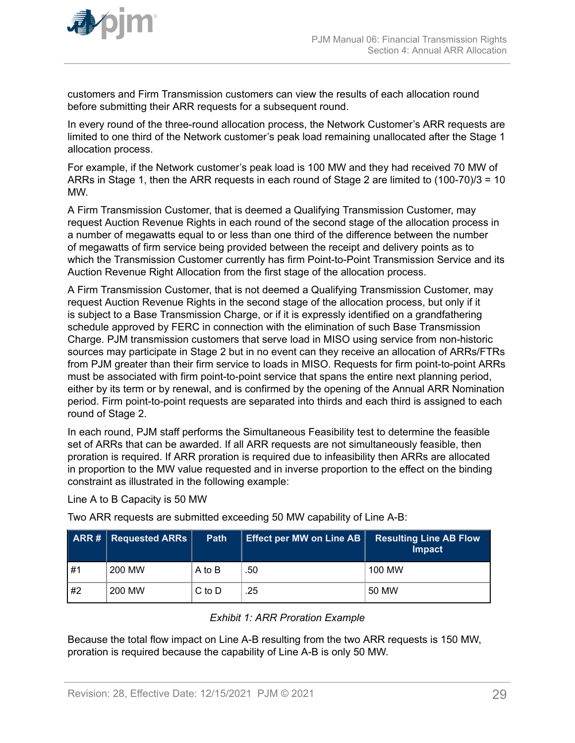<span id="page-28-0"></span>

customers and Firm Transmission customers can view the results of each allocation round before submitting their ARR requests for a subsequent round.

In every round of the three-round allocation process, the Network Customer's ARR requests are limited to one third of the Network customer's peak load remaining unallocated after the Stage 1 allocation process.

For example, if the Network customer's peak load is 100 MW and they had received 70 MW of ARRs in Stage 1, then the ARR requests in each round of Stage 2 are limited to (100-70)/3 = 10 MW.

A Firm Transmission Customer, that is deemed a Qualifying Transmission Customer, may request Auction Revenue Rights in each round of the second stage of the allocation process in a number of megawatts equal to or less than one third of the difference between the number of megawatts of firm service being provided between the receipt and delivery points as to which the Transmission Customer currently has firm Point-to-Point Transmission Service and its Auction Revenue Right Allocation from the first stage of the allocation process.

A Firm Transmission Customer, that is not deemed a Qualifying Transmission Customer, may request Auction Revenue Rights in the second stage of the allocation process, but only if it is subject to a Base Transmission Charge, or if it is expressly identified on a grandfathering schedule approved by FERC in connection with the elimination of such Base Transmission Charge. PJM transmission customers that serve load in MISO using service from non-historic sources may participate in Stage 2 but in no event can they receive an allocation of ARRs/FTRs from PJM greater than their firm service to loads in MISO. Requests for firm point-to-point ARRs must be associated with firm point-to-point service that spans the entire next planning period, either by its term or by renewal, and is confirmed by the opening of the Annual ARR Nomination period. Firm point-to-point requests are separated into thirds and each third is assigned to each round of Stage 2.

In each round, PJM staff performs the Simultaneous Feasibility test to determine the feasible set of ARRs that can be awarded. If all ARR requests are not simultaneously feasible, then proration is required. If ARR proration is required due to infeasibility then ARRs are allocated in proportion to the MW value requested and in inverse proportion to the effect on the binding constraint as illustrated in the following example:

Line A to B Capacity is 50 MW

Two ARR requests are submitted exceeding 50 MW capability of Line A-B:

|    | <b>ARR#</b> Requested ARRs | Path       | <b>Effect per MW on Line AB</b> | <b>Resulting Line AB Flow</b><br><b>Impact</b> |
|----|----------------------------|------------|---------------------------------|------------------------------------------------|
| #1 | 200 MW                     | A to B     | .50                             | 100 MW                                         |
| #2 | 200 MW                     | $C$ to $D$ | .25                             | 50 MW                                          |

### *Exhibit 1: ARR Proration Example*

Because the total flow impact on Line A-B resulting from the two ARR requests is 150 MW, proration is required because the capability of Line A-B is only 50 MW.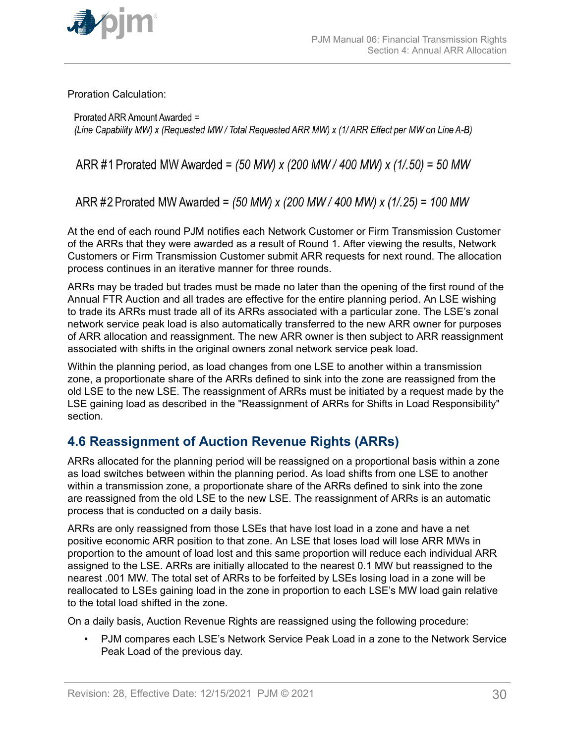<span id="page-29-0"></span>

Proration Calculation:

Prorated ARR Amount Awarded = (Line Capability MW) x (Requested MW / Total Requested ARR MW) x (1/ ARR Effect per MW on Line A-B)

ARR #1 Prorated MW Awarded =  $(50 \text{ MW}) \times (200 \text{ MW} / 400 \text{ MW}) \times (1/0.50) = 50 \text{ MW}$ 

ARR #2 Prorated MW Awarded = (50 MW) x (200 MW / 400 MW) x (1/.25) = 100 MW

At the end of each round PJM notifies each Network Customer or Firm Transmission Customer of the ARRs that they were awarded as a result of Round 1. After viewing the results, Network Customers or Firm Transmission Customer submit ARR requests for next round. The allocation process continues in an iterative manner for three rounds.

ARRs may be traded but trades must be made no later than the opening of the first round of the Annual FTR Auction and all trades are effective for the entire planning period. An LSE wishing to trade its ARRs must trade all of its ARRs associated with a particular zone. The LSE's zonal network service peak load is also automatically transferred to the new ARR owner for purposes of ARR allocation and reassignment. The new ARR owner is then subject to ARR reassignment associated with shifts in the original owners zonal network service peak load.

Within the planning period, as load changes from one LSE to another within a transmission zone, a proportionate share of the ARRs defined to sink into the zone are reassigned from the old LSE to the new LSE. The reassignment of ARRs must be initiated by a request made by the LSE gaining load as described in the "Reassignment of ARRs for Shifts in Load Responsibility" section.

# **4.6 Reassignment of Auction Revenue Rights (ARRs)**

ARRs allocated for the planning period will be reassigned on a proportional basis within a zone as load switches between within the planning period. As load shifts from one LSE to another within a transmission zone, a proportionate share of the ARRs defined to sink into the zone are reassigned from the old LSE to the new LSE. The reassignment of ARRs is an automatic process that is conducted on a daily basis.

ARRs are only reassigned from those LSEs that have lost load in a zone and have a net positive economic ARR position to that zone. An LSE that loses load will lose ARR MWs in proportion to the amount of load lost and this same proportion will reduce each individual ARR assigned to the LSE. ARRs are initially allocated to the nearest 0.1 MW but reassigned to the nearest .001 MW. The total set of ARRs to be forfeited by LSEs losing load in a zone will be reallocated to LSEs gaining load in the zone in proportion to each LSE's MW load gain relative to the total load shifted in the zone.

On a daily basis, Auction Revenue Rights are reassigned using the following procedure:

• PJM compares each LSE's Network Service Peak Load in a zone to the Network Service Peak Load of the previous day.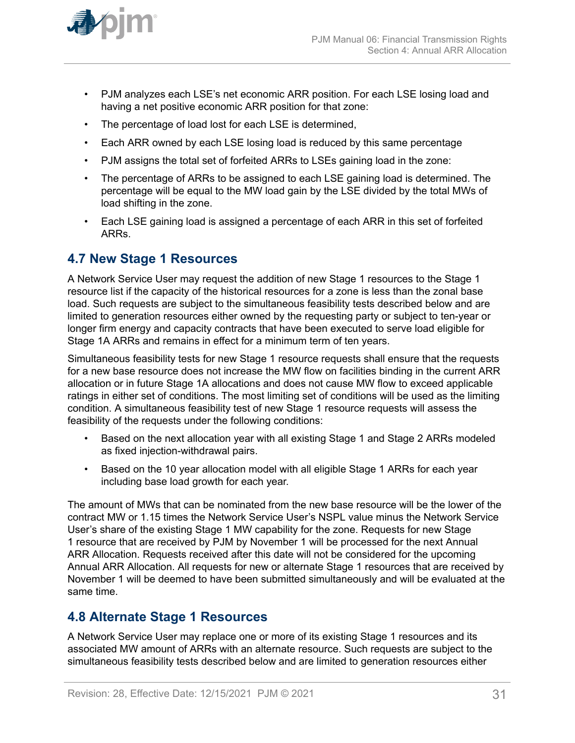<span id="page-30-0"></span>

- PJM analyzes each LSE's net economic ARR position. For each LSE losing load and having a net positive economic ARR position for that zone:
- The percentage of load lost for each LSE is determined,
- Each ARR owned by each LSE losing load is reduced by this same percentage
- PJM assigns the total set of forfeited ARRs to LSEs gaining load in the zone:
- The percentage of ARRs to be assigned to each LSE gaining load is determined. The percentage will be equal to the MW load gain by the LSE divided by the total MWs of load shifting in the zone.
- Each LSE gaining load is assigned a percentage of each ARR in this set of forfeited ARRs.

### **4.7 New Stage 1 Resources**

A Network Service User may request the addition of new Stage 1 resources to the Stage 1 resource list if the capacity of the historical resources for a zone is less than the zonal base load. Such requests are subject to the simultaneous feasibility tests described below and are limited to generation resources either owned by the requesting party or subject to ten-year or longer firm energy and capacity contracts that have been executed to serve load eligible for Stage 1A ARRs and remains in effect for a minimum term of ten years.

Simultaneous feasibility tests for new Stage 1 resource requests shall ensure that the requests for a new base resource does not increase the MW flow on facilities binding in the current ARR allocation or in future Stage 1A allocations and does not cause MW flow to exceed applicable ratings in either set of conditions. The most limiting set of conditions will be used as the limiting condition. A simultaneous feasibility test of new Stage 1 resource requests will assess the feasibility of the requests under the following conditions:

- Based on the next allocation year with all existing Stage 1 and Stage 2 ARRs modeled as fixed injection-withdrawal pairs.
- Based on the 10 year allocation model with all eligible Stage 1 ARRs for each year including base load growth for each year.

The amount of MWs that can be nominated from the new base resource will be the lower of the contract MW or 1.15 times the Network Service User's NSPL value minus the Network Service User's share of the existing Stage 1 MW capability for the zone. Requests for new Stage 1 resource that are received by PJM by November 1 will be processed for the next Annual ARR Allocation. Requests received after this date will not be considered for the upcoming Annual ARR Allocation. All requests for new or alternate Stage 1 resources that are received by November 1 will be deemed to have been submitted simultaneously and will be evaluated at the same time.

### **4.8 Alternate Stage 1 Resources**

A Network Service User may replace one or more of its existing Stage 1 resources and its associated MW amount of ARRs with an alternate resource. Such requests are subject to the simultaneous feasibility tests described below and are limited to generation resources either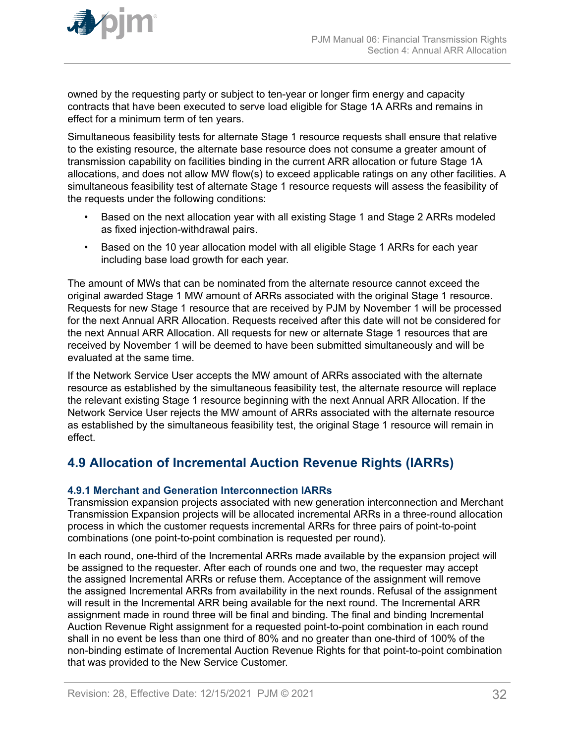<span id="page-31-0"></span>

owned by the requesting party or subject to ten-year or longer firm energy and capacity contracts that have been executed to serve load eligible for Stage 1A ARRs and remains in effect for a minimum term of ten years.

Simultaneous feasibility tests for alternate Stage 1 resource requests shall ensure that relative to the existing resource, the alternate base resource does not consume a greater amount of transmission capability on facilities binding in the current ARR allocation or future Stage 1A allocations, and does not allow MW flow(s) to exceed applicable ratings on any other facilities. A simultaneous feasibility test of alternate Stage 1 resource requests will assess the feasibility of the requests under the following conditions:

- Based on the next allocation year with all existing Stage 1 and Stage 2 ARRs modeled as fixed injection-withdrawal pairs.
- Based on the 10 year allocation model with all eligible Stage 1 ARRs for each year including base load growth for each year.

The amount of MWs that can be nominated from the alternate resource cannot exceed the original awarded Stage 1 MW amount of ARRs associated with the original Stage 1 resource. Requests for new Stage 1 resource that are received by PJM by November 1 will be processed for the next Annual ARR Allocation. Requests received after this date will not be considered for the next Annual ARR Allocation. All requests for new or alternate Stage 1 resources that are received by November 1 will be deemed to have been submitted simultaneously and will be evaluated at the same time.

If the Network Service User accepts the MW amount of ARRs associated with the alternate resource as established by the simultaneous feasibility test, the alternate resource will replace the relevant existing Stage 1 resource beginning with the next Annual ARR Allocation. If the Network Service User rejects the MW amount of ARRs associated with the alternate resource as established by the simultaneous feasibility test, the original Stage 1 resource will remain in effect.

# **4.9 Allocation of Incremental Auction Revenue Rights (IARRs)**

### **4.9.1 Merchant and Generation Interconnection IARRs**

Transmission expansion projects associated with new generation interconnection and Merchant Transmission Expansion projects will be allocated incremental ARRs in a three-round allocation process in which the customer requests incremental ARRs for three pairs of point-to-point combinations (one point-to-point combination is requested per round).

In each round, one-third of the Incremental ARRs made available by the expansion project will be assigned to the requester. After each of rounds one and two, the requester may accept the assigned Incremental ARRs or refuse them. Acceptance of the assignment will remove the assigned Incremental ARRs from availability in the next rounds. Refusal of the assignment will result in the Incremental ARR being available for the next round. The Incremental ARR assignment made in round three will be final and binding. The final and binding Incremental Auction Revenue Right assignment for a requested point-to-point combination in each round shall in no event be less than one third of 80% and no greater than one-third of 100% of the non-binding estimate of Incremental Auction Revenue Rights for that point-to-point combination that was provided to the New Service Customer.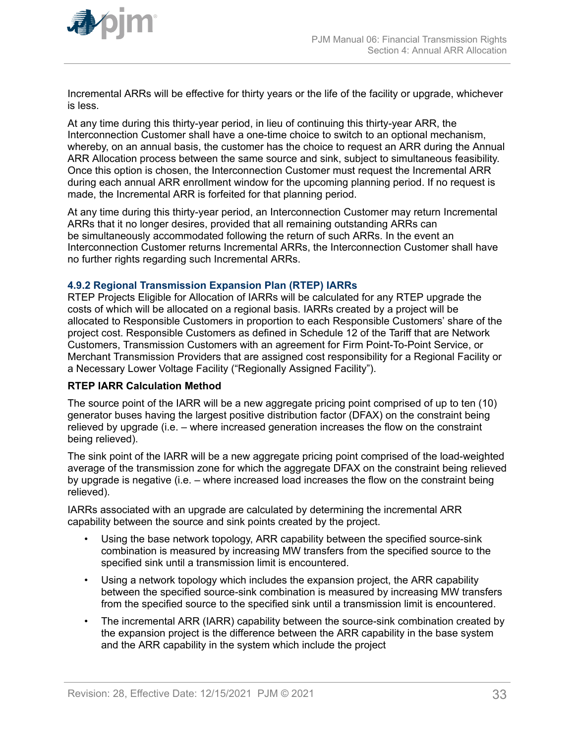<span id="page-32-0"></span>

Incremental ARRs will be effective for thirty years or the life of the facility or upgrade, whichever is less.

At any time during this thirty-year period, in lieu of continuing this thirty-year ARR, the Interconnection Customer shall have a one-time choice to switch to an optional mechanism, whereby, on an annual basis, the customer has the choice to request an ARR during the Annual ARR Allocation process between the same source and sink, subject to simultaneous feasibility. Once this option is chosen, the Interconnection Customer must request the Incremental ARR during each annual ARR enrollment window for the upcoming planning period. If no request is made, the Incremental ARR is forfeited for that planning period.

At any time during this thirty-year period, an Interconnection Customer may return Incremental ARRs that it no longer desires, provided that all remaining outstanding ARRs can be simultaneously accommodated following the return of such ARRs. In the event an Interconnection Customer returns Incremental ARRs, the Interconnection Customer shall have no further rights regarding such Incremental ARRs.

#### **4.9.2 Regional Transmission Expansion Plan (RTEP) IARRs**

RTEP Projects Eligible for Allocation of IARRs will be calculated for any RTEP upgrade the costs of which will be allocated on a regional basis. IARRs created by a project will be allocated to Responsible Customers in proportion to each Responsible Customers' share of the project cost. Responsible Customers as defined in Schedule 12 of the Tariff that are Network Customers, Transmission Customers with an agreement for Firm Point-To-Point Service, or Merchant Transmission Providers that are assigned cost responsibility for a Regional Facility or a Necessary Lower Voltage Facility ("Regionally Assigned Facility").

#### **RTEP IARR Calculation Method**

The source point of the IARR will be a new aggregate pricing point comprised of up to ten (10) generator buses having the largest positive distribution factor (DFAX) on the constraint being relieved by upgrade (i.e. – where increased generation increases the flow on the constraint being relieved).

The sink point of the IARR will be a new aggregate pricing point comprised of the load-weighted average of the transmission zone for which the aggregate DFAX on the constraint being relieved by upgrade is negative (i.e. – where increased load increases the flow on the constraint being relieved).

IARRs associated with an upgrade are calculated by determining the incremental ARR capability between the source and sink points created by the project.

- Using the base network topology, ARR capability between the specified source-sink combination is measured by increasing MW transfers from the specified source to the specified sink until a transmission limit is encountered.
- Using a network topology which includes the expansion project, the ARR capability between the specified source-sink combination is measured by increasing MW transfers from the specified source to the specified sink until a transmission limit is encountered.
- The incremental ARR (IARR) capability between the source-sink combination created by the expansion project is the difference between the ARR capability in the base system and the ARR capability in the system which include the project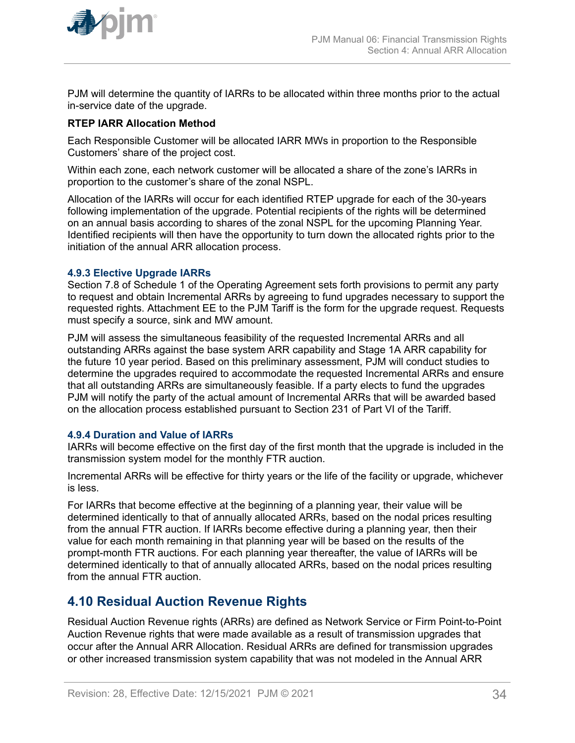<span id="page-33-0"></span>

PJM will determine the quantity of IARRs to be allocated within three months prior to the actual in-service date of the upgrade.

#### **RTEP IARR Allocation Method**

Each Responsible Customer will be allocated IARR MWs in proportion to the Responsible Customers' share of the project cost.

Within each zone, each network customer will be allocated a share of the zone's IARRs in proportion to the customer's share of the zonal NSPL.

Allocation of the IARRs will occur for each identified RTEP upgrade for each of the 30-years following implementation of the upgrade. Potential recipients of the rights will be determined on an annual basis according to shares of the zonal NSPL for the upcoming Planning Year. Identified recipients will then have the opportunity to turn down the allocated rights prior to the initiation of the annual ARR allocation process.

#### **4.9.3 Elective Upgrade IARRs**

Section 7.8 of Schedule 1 of the Operating Agreement sets forth provisions to permit any party to request and obtain Incremental ARRs by agreeing to fund upgrades necessary to support the requested rights. Attachment EE to the PJM Tariff is the form for the upgrade request. Requests must specify a source, sink and MW amount.

PJM will assess the simultaneous feasibility of the requested Incremental ARRs and all outstanding ARRs against the base system ARR capability and Stage 1A ARR capability for the future 10 year period. Based on this preliminary assessment, PJM will conduct studies to determine the upgrades required to accommodate the requested Incremental ARRs and ensure that all outstanding ARRs are simultaneously feasible. If a party elects to fund the upgrades PJM will notify the party of the actual amount of Incremental ARRs that will be awarded based on the allocation process established pursuant to Section 231 of Part VI of the Tariff.

#### **4.9.4 Duration and Value of IARRs**

IARRs will become effective on the first day of the first month that the upgrade is included in the transmission system model for the monthly FTR auction.

Incremental ARRs will be effective for thirty years or the life of the facility or upgrade, whichever is less.

For IARRs that become effective at the beginning of a planning year, their value will be determined identically to that of annually allocated ARRs, based on the nodal prices resulting from the annual FTR auction. If IARRs become effective during a planning year, then their value for each month remaining in that planning year will be based on the results of the prompt-month FTR auctions. For each planning year thereafter, the value of IARRs will be determined identically to that of annually allocated ARRs, based on the nodal prices resulting from the annual FTR auction.

### **4.10 Residual Auction Revenue Rights**

Residual Auction Revenue rights (ARRs) are defined as Network Service or Firm Point-to-Point Auction Revenue rights that were made available as a result of transmission upgrades that occur after the Annual ARR Allocation. Residual ARRs are defined for transmission upgrades or other increased transmission system capability that was not modeled in the Annual ARR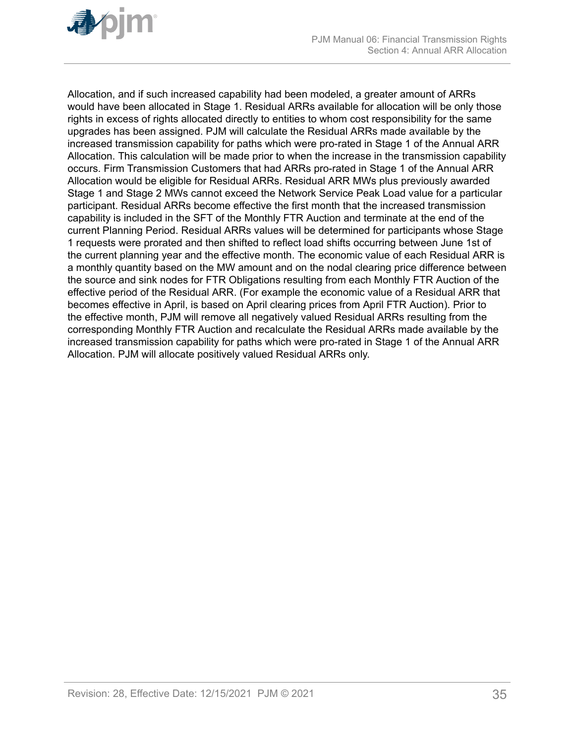

Allocation, and if such increased capability had been modeled, a greater amount of ARRs would have been allocated in Stage 1. Residual ARRs available for allocation will be only those rights in excess of rights allocated directly to entities to whom cost responsibility for the same upgrades has been assigned. PJM will calculate the Residual ARRs made available by the increased transmission capability for paths which were pro-rated in Stage 1 of the Annual ARR Allocation. This calculation will be made prior to when the increase in the transmission capability occurs. Firm Transmission Customers that had ARRs pro-rated in Stage 1 of the Annual ARR Allocation would be eligible for Residual ARRs. Residual ARR MWs plus previously awarded Stage 1 and Stage 2 MWs cannot exceed the Network Service Peak Load value for a particular participant. Residual ARRs become effective the first month that the increased transmission capability is included in the SFT of the Monthly FTR Auction and terminate at the end of the current Planning Period. Residual ARRs values will be determined for participants whose Stage 1 requests were prorated and then shifted to reflect load shifts occurring between June 1st of the current planning year and the effective month. The economic value of each Residual ARR is a monthly quantity based on the MW amount and on the nodal clearing price difference between the source and sink nodes for FTR Obligations resulting from each Monthly FTR Auction of the effective period of the Residual ARR. (For example the economic value of a Residual ARR that becomes effective in April, is based on April clearing prices from April FTR Auction). Prior to the effective month, PJM will remove all negatively valued Residual ARRs resulting from the corresponding Monthly FTR Auction and recalculate the Residual ARRs made available by the increased transmission capability for paths which were pro-rated in Stage 1 of the Annual ARR Allocation. PJM will allocate positively valued Residual ARRs only.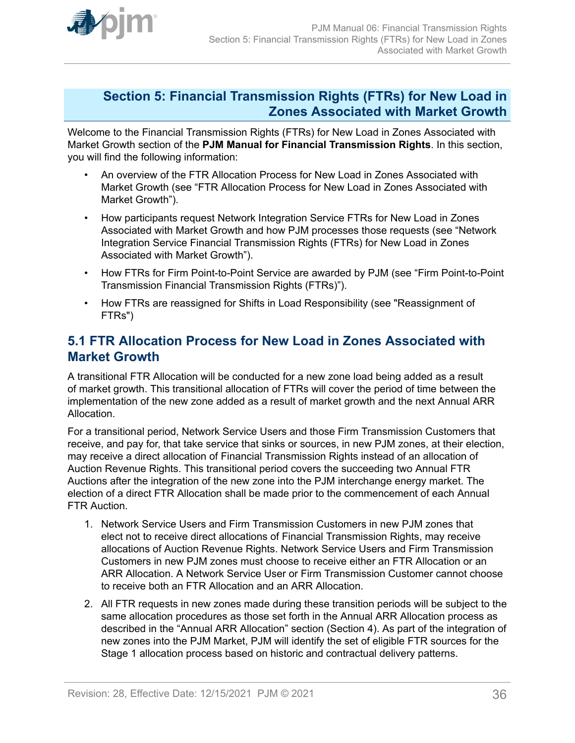<span id="page-35-0"></span>

## **Section 5: Financial Transmission Rights (FTRs) for New Load in Zones Associated with Market Growth**

Welcome to the Financial Transmission Rights (FTRs) for New Load in Zones Associated with Market Growth section of the **PJM Manual for Financial Transmission Rights**. In this section, you will find the following information:

- An overview of the FTR Allocation Process for New Load in Zones Associated with Market Growth (see "FTR Allocation Process for New Load in Zones Associated with Market Growth").
- How participants request Network Integration Service FTRs for New Load in Zones Associated with Market Growth and how PJM processes those requests (see "Network Integration Service Financial Transmission Rights (FTRs) for New Load in Zones Associated with Market Growth").
- How FTRs for Firm Point-to-Point Service are awarded by PJM (see "Firm Point-to-Point Transmission Financial Transmission Rights (FTRs)").
- How FTRs are reassigned for Shifts in Load Responsibility (see "Reassignment of FTRs")

# **5.1 FTR Allocation Process for New Load in Zones Associated with Market Growth**

A transitional FTR Allocation will be conducted for a new zone load being added as a result of market growth. This transitional allocation of FTRs will cover the period of time between the implementation of the new zone added as a result of market growth and the next Annual ARR Allocation.

For a transitional period, Network Service Users and those Firm Transmission Customers that receive, and pay for, that take service that sinks or sources, in new PJM zones, at their election, may receive a direct allocation of Financial Transmission Rights instead of an allocation of Auction Revenue Rights. This transitional period covers the succeeding two Annual FTR Auctions after the integration of the new zone into the PJM interchange energy market. The election of a direct FTR Allocation shall be made prior to the commencement of each Annual FTR Auction.

- 1. Network Service Users and Firm Transmission Customers in new PJM zones that elect not to receive direct allocations of Financial Transmission Rights, may receive allocations of Auction Revenue Rights. Network Service Users and Firm Transmission Customers in new PJM zones must choose to receive either an FTR Allocation or an ARR Allocation. A Network Service User or Firm Transmission Customer cannot choose to receive both an FTR Allocation and an ARR Allocation.
- 2. All FTR requests in new zones made during these transition periods will be subject to the same allocation procedures as those set forth in the Annual ARR Allocation process as described in the "Annual ARR Allocation" section (Section 4). As part of the integration of new zones into the PJM Market, PJM will identify the set of eligible FTR sources for the Stage 1 allocation process based on historic and contractual delivery patterns.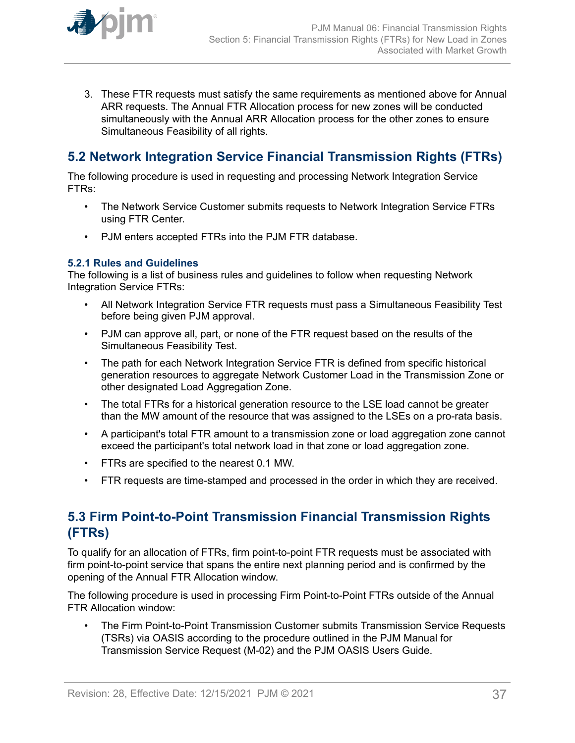<span id="page-36-0"></span>

3. These FTR requests must satisfy the same requirements as mentioned above for Annual ARR requests. The Annual FTR Allocation process for new zones will be conducted simultaneously with the Annual ARR Allocation process for the other zones to ensure Simultaneous Feasibility of all rights.

# **5.2 Network Integration Service Financial Transmission Rights (FTRs)**

The following procedure is used in requesting and processing Network Integration Service FTRs:

- The Network Service Customer submits requests to Network Integration Service FTRs using FTR Center.
- PJM enters accepted FTRs into the PJM FTR database.

### **5.2.1 Rules and Guidelines**

The following is a list of business rules and guidelines to follow when requesting Network Integration Service FTRs:

- All Network Integration Service FTR requests must pass a Simultaneous Feasibility Test before being given PJM approval.
- PJM can approve all, part, or none of the FTR request based on the results of the Simultaneous Feasibility Test.
- The path for each Network Integration Service FTR is defined from specific historical generation resources to aggregate Network Customer Load in the Transmission Zone or other designated Load Aggregation Zone.
- The total FTRs for a historical generation resource to the LSE load cannot be greater than the MW amount of the resource that was assigned to the LSEs on a pro-rata basis.
- A participant's total FTR amount to a transmission zone or load aggregation zone cannot exceed the participant's total network load in that zone or load aggregation zone.
- FTRs are specified to the nearest 0.1 MW.
- FTR requests are time-stamped and processed in the order in which they are received.

# **5.3 Firm Point-to-Point Transmission Financial Transmission Rights (FTRs)**

To qualify for an allocation of FTRs, firm point-to-point FTR requests must be associated with firm point-to-point service that spans the entire next planning period and is confirmed by the opening of the Annual FTR Allocation window.

The following procedure is used in processing Firm Point-to-Point FTRs outside of the Annual FTR Allocation window:

• The Firm Point-to-Point Transmission Customer submits Transmission Service Requests (TSRs) via OASIS according to the procedure outlined in the PJM Manual for Transmission Service Request (M-02) and the PJM OASIS Users Guide.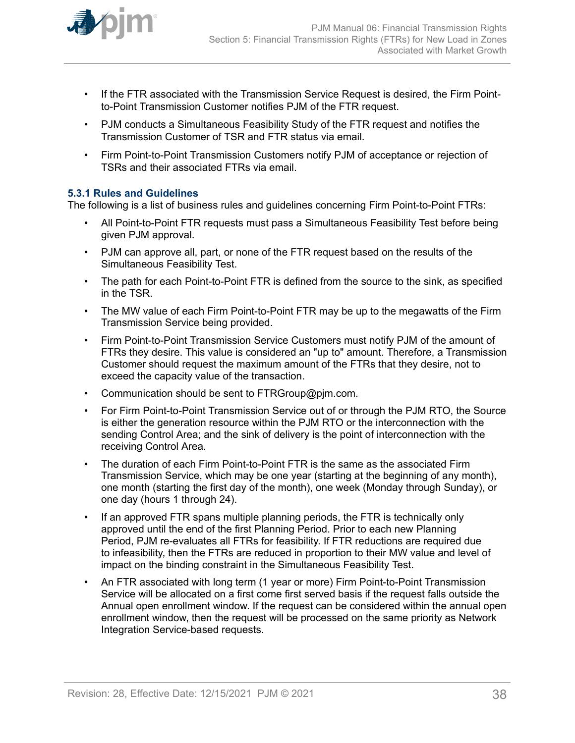<span id="page-37-0"></span>

- If the FTR associated with the Transmission Service Request is desired, the Firm Pointto-Point Transmission Customer notifies PJM of the FTR request.
- PJM conducts a Simultaneous Feasibility Study of the FTR request and notifies the Transmission Customer of TSR and FTR status via email.
- Firm Point-to-Point Transmission Customers notify PJM of acceptance or rejection of TSRs and their associated FTRs via email.

### **5.3.1 Rules and Guidelines**

The following is a list of business rules and guidelines concerning Firm Point-to-Point FTRs:

- All Point-to-Point FTR requests must pass a Simultaneous Feasibility Test before being given PJM approval.
- PJM can approve all, part, or none of the FTR request based on the results of the Simultaneous Feasibility Test.
- The path for each Point-to-Point FTR is defined from the source to the sink, as specified in the TSR.
- The MW value of each Firm Point-to-Point FTR may be up to the megawatts of the Firm Transmission Service being provided.
- Firm Point-to-Point Transmission Service Customers must notify PJM of the amount of FTRs they desire. This value is considered an "up to" amount. Therefore, a Transmission Customer should request the maximum amount of the FTRs that they desire, not to exceed the capacity value of the transaction.
- Communication should be sent to FTRGroup@pjm.com.
- For Firm Point-to-Point Transmission Service out of or through the PJM RTO, the Source is either the generation resource within the PJM RTO or the interconnection with the sending Control Area; and the sink of delivery is the point of interconnection with the receiving Control Area.
- The duration of each Firm Point-to-Point FTR is the same as the associated Firm Transmission Service, which may be one year (starting at the beginning of any month), one month (starting the first day of the month), one week (Monday through Sunday), or one day (hours 1 through 24).
- If an approved FTR spans multiple planning periods, the FTR is technically only approved until the end of the first Planning Period. Prior to each new Planning Period, PJM re-evaluates all FTRs for feasibility. If FTR reductions are required due to infeasibility, then the FTRs are reduced in proportion to their MW value and level of impact on the binding constraint in the Simultaneous Feasibility Test.
- An FTR associated with long term (1 year or more) Firm Point-to-Point Transmission Service will be allocated on a first come first served basis if the request falls outside the Annual open enrollment window. If the request can be considered within the annual open enrollment window, then the request will be processed on the same priority as Network Integration Service-based requests.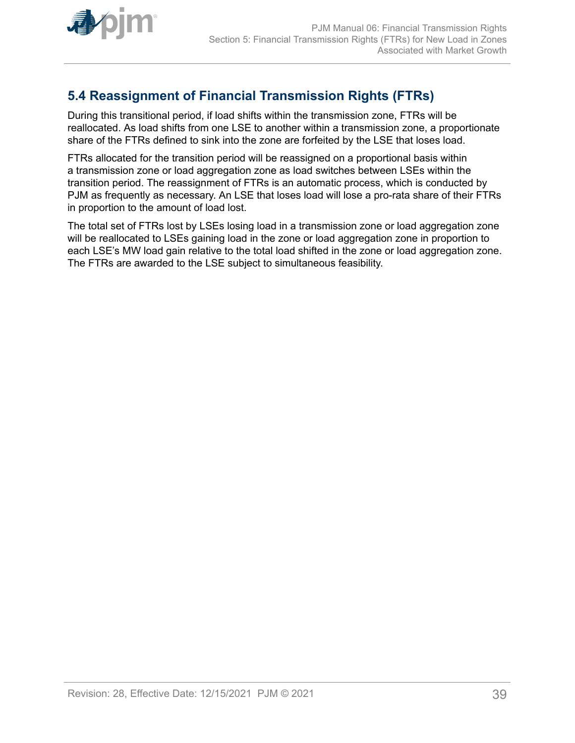<span id="page-38-0"></span>

# **5.4 Reassignment of Financial Transmission Rights (FTRs)**

During this transitional period, if load shifts within the transmission zone, FTRs will be reallocated. As load shifts from one LSE to another within a transmission zone, a proportionate share of the FTRs defined to sink into the zone are forfeited by the LSE that loses load.

FTRs allocated for the transition period will be reassigned on a proportional basis within a transmission zone or load aggregation zone as load switches between LSEs within the transition period. The reassignment of FTRs is an automatic process, which is conducted by PJM as frequently as necessary. An LSE that loses load will lose a pro-rata share of their FTRs in proportion to the amount of load lost.

The total set of FTRs lost by LSEs losing load in a transmission zone or load aggregation zone will be reallocated to LSEs gaining load in the zone or load aggregation zone in proportion to each LSE's MW load gain relative to the total load shifted in the zone or load aggregation zone. The FTRs are awarded to the LSE subject to simultaneous feasibility.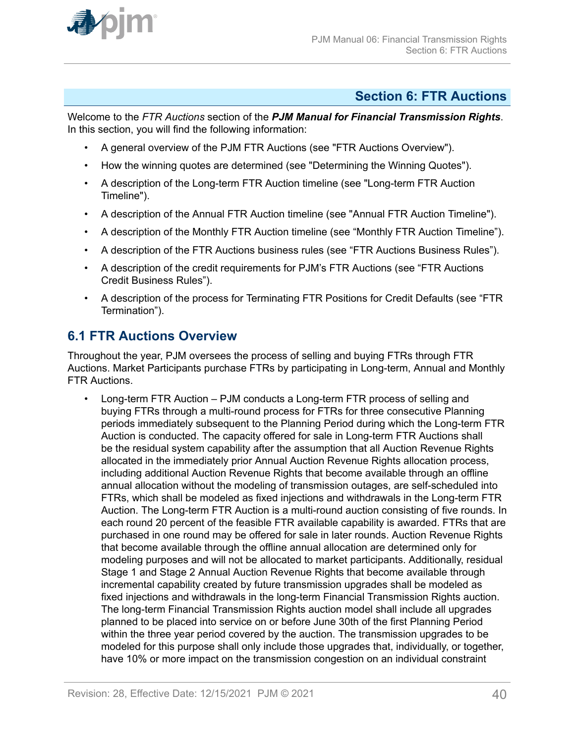<span id="page-39-0"></span>

## **Section 6: FTR Auctions**

Welcome to the *FTR Auctions* section of the *PJM Manual for Financial Transmission Rights*. In this section, you will find the following information:

- A general overview of the PJM FTR Auctions (see "FTR Auctions Overview").
- How the winning quotes are determined (see "Determining the Winning Quotes").
- A description of the Long-term FTR Auction timeline (see "Long-term FTR Auction Timeline").
- A description of the Annual FTR Auction timeline (see "Annual FTR Auction Timeline").
- A description of the Monthly FTR Auction timeline (see "Monthly FTR Auction Timeline").
- A description of the FTR Auctions business rules (see "FTR Auctions Business Rules").
- A description of the credit requirements for PJM's FTR Auctions (see "FTR Auctions Credit Business Rules").
- A description of the process for Terminating FTR Positions for Credit Defaults (see "FTR Termination").

### **6.1 FTR Auctions Overview**

Throughout the year, PJM oversees the process of selling and buying FTRs through FTR Auctions. Market Participants purchase FTRs by participating in Long-term, Annual and Monthly FTR Auctions.

• Long-term FTR Auction – PJM conducts a Long-term FTR process of selling and buying FTRs through a multi-round process for FTRs for three consecutive Planning periods immediately subsequent to the Planning Period during which the Long-term FTR Auction is conducted. The capacity offered for sale in Long-term FTR Auctions shall be the residual system capability after the assumption that all Auction Revenue Rights allocated in the immediately prior Annual Auction Revenue Rights allocation process, including additional Auction Revenue Rights that become available through an offline annual allocation without the modeling of transmission outages, are self-scheduled into FTRs, which shall be modeled as fixed injections and withdrawals in the Long-term FTR Auction. The Long-term FTR Auction is a multi-round auction consisting of five rounds. In each round 20 percent of the feasible FTR available capability is awarded. FTRs that are purchased in one round may be offered for sale in later rounds. Auction Revenue Rights that become available through the offline annual allocation are determined only for modeling purposes and will not be allocated to market participants. Additionally, residual Stage 1 and Stage 2 Annual Auction Revenue Rights that become available through incremental capability created by future transmission upgrades shall be modeled as fixed injections and withdrawals in the long-term Financial Transmission Rights auction. The long-term Financial Transmission Rights auction model shall include all upgrades planned to be placed into service on or before June 30th of the first Planning Period within the three year period covered by the auction. The transmission upgrades to be modeled for this purpose shall only include those upgrades that, individually, or together, have 10% or more impact on the transmission congestion on an individual constraint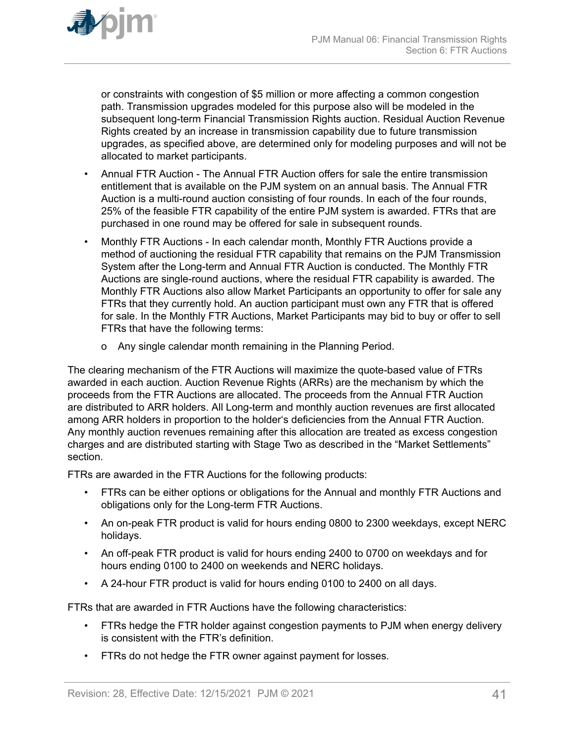

or constraints with congestion of \$5 million or more affecting a common congestion path. Transmission upgrades modeled for this purpose also will be modeled in the subsequent long-term Financial Transmission Rights auction. Residual Auction Revenue Rights created by an increase in transmission capability due to future transmission upgrades, as specified above, are determined only for modeling purposes and will not be allocated to market participants.

- Annual FTR Auction The Annual FTR Auction offers for sale the entire transmission entitlement that is available on the PJM system on an annual basis. The Annual FTR Auction is a multi-round auction consisting of four rounds. In each of the four rounds, 25% of the feasible FTR capability of the entire PJM system is awarded. FTRs that are purchased in one round may be offered for sale in subsequent rounds.
- Monthly FTR Auctions In each calendar month, Monthly FTR Auctions provide a method of auctioning the residual FTR capability that remains on the PJM Transmission System after the Long-term and Annual FTR Auction is conducted. The Monthly FTR Auctions are single-round auctions, where the residual FTR capability is awarded. The Monthly FTR Auctions also allow Market Participants an opportunity to offer for sale any FTRs that they currently hold. An auction participant must own any FTR that is offered for sale. In the Monthly FTR Auctions, Market Participants may bid to buy or offer to sell FTRs that have the following terms:
	- o Any single calendar month remaining in the Planning Period.

The clearing mechanism of the FTR Auctions will maximize the quote-based value of FTRs awarded in each auction. Auction Revenue Rights (ARRs) are the mechanism by which the proceeds from the FTR Auctions are allocated. The proceeds from the Annual FTR Auction are distributed to ARR holders. All Long-term and monthly auction revenues are first allocated among ARR holders in proportion to the holder's deficiencies from the Annual FTR Auction. Any monthly auction revenues remaining after this allocation are treated as excess congestion charges and are distributed starting with Stage Two as described in the "Market Settlements" section.

FTRs are awarded in the FTR Auctions for the following products:

- FTRs can be either options or obligations for the Annual and monthly FTR Auctions and obligations only for the Long-term FTR Auctions.
- An on-peak FTR product is valid for hours ending 0800 to 2300 weekdays, except NERC holidays.
- An off-peak FTR product is valid for hours ending 2400 to 0700 on weekdays and for hours ending 0100 to 2400 on weekends and NERC holidays.
- A 24-hour FTR product is valid for hours ending 0100 to 2400 on all days.

FTRs that are awarded in FTR Auctions have the following characteristics:

- FTRs hedge the FTR holder against congestion payments to PJM when energy delivery is consistent with the FTR's definition.
- FTRs do not hedge the FTR owner against payment for losses.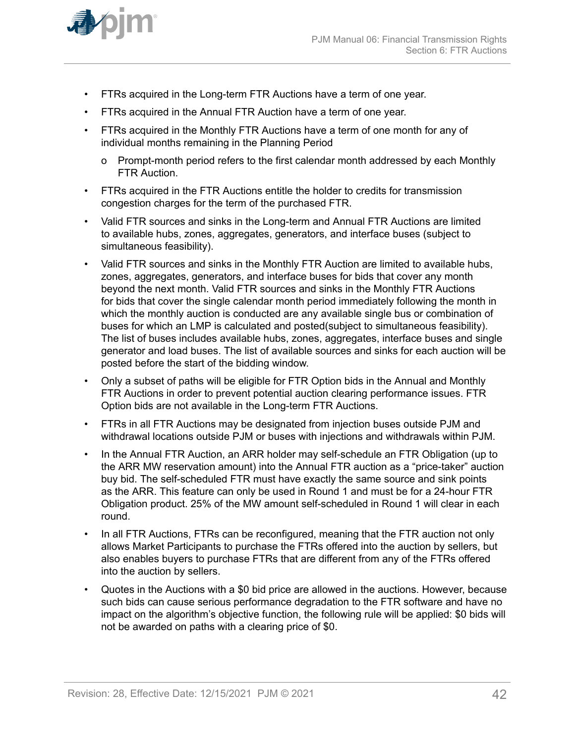

- FTRs acquired in the Long-term FTR Auctions have a term of one year.
- FTRs acquired in the Annual FTR Auction have a term of one year.
- FTRs acquired in the Monthly FTR Auctions have a term of one month for any of individual months remaining in the Planning Period
	- o Prompt-month period refers to the first calendar month addressed by each Monthly FTR Auction.
- FTRs acquired in the FTR Auctions entitle the holder to credits for transmission congestion charges for the term of the purchased FTR.
- Valid FTR sources and sinks in the Long-term and Annual FTR Auctions are limited to available hubs, zones, aggregates, generators, and interface buses (subject to simultaneous feasibility).
- Valid FTR sources and sinks in the Monthly FTR Auction are limited to available hubs, zones, aggregates, generators, and interface buses for bids that cover any month beyond the next month. Valid FTR sources and sinks in the Monthly FTR Auctions for bids that cover the single calendar month period immediately following the month in which the monthly auction is conducted are any available single bus or combination of buses for which an LMP is calculated and posted(subject to simultaneous feasibility). The list of buses includes available hubs, zones, aggregates, interface buses and single generator and load buses. The list of available sources and sinks for each auction will be posted before the start of the bidding window.
- Only a subset of paths will be eligible for FTR Option bids in the Annual and Monthly FTR Auctions in order to prevent potential auction clearing performance issues. FTR Option bids are not available in the Long-term FTR Auctions.
- FTRs in all FTR Auctions may be designated from injection buses outside PJM and withdrawal locations outside PJM or buses with injections and withdrawals within PJM.
- In the Annual FTR Auction, an ARR holder may self-schedule an FTR Obligation (up to the ARR MW reservation amount) into the Annual FTR auction as a "price-taker" auction buy bid. The self-scheduled FTR must have exactly the same source and sink points as the ARR. This feature can only be used in Round 1 and must be for a 24-hour FTR Obligation product. 25% of the MW amount self-scheduled in Round 1 will clear in each round.
- In all FTR Auctions, FTRs can be reconfigured, meaning that the FTR auction not only allows Market Participants to purchase the FTRs offered into the auction by sellers, but also enables buyers to purchase FTRs that are different from any of the FTRs offered into the auction by sellers.
- Quotes in the Auctions with a \$0 bid price are allowed in the auctions. However, because such bids can cause serious performance degradation to the FTR software and have no impact on the algorithm's objective function, the following rule will be applied: \$0 bids will not be awarded on paths with a clearing price of \$0.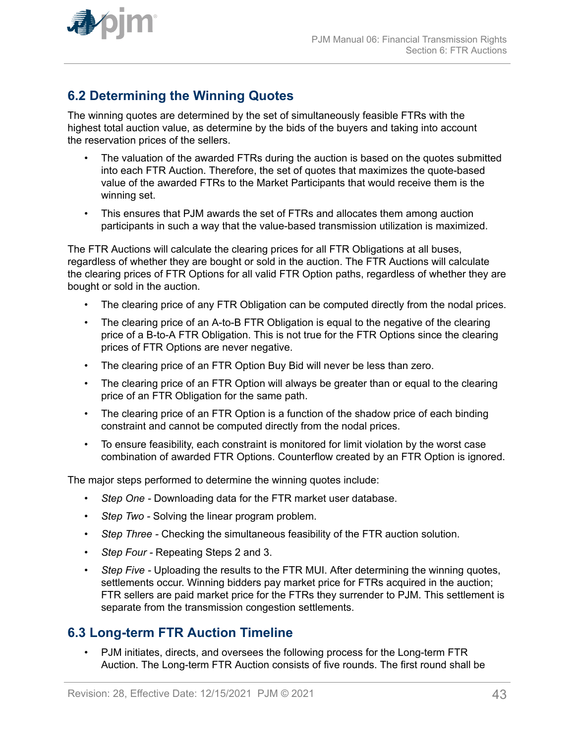

<span id="page-42-0"></span>

# **6.2 Determining the Winning Quotes**

The winning quotes are determined by the set of simultaneously feasible FTRs with the highest total auction value, as determine by the bids of the buyers and taking into account the reservation prices of the sellers.

- The valuation of the awarded FTRs during the auction is based on the quotes submitted into each FTR Auction. Therefore, the set of quotes that maximizes the quote-based value of the awarded FTRs to the Market Participants that would receive them is the winning set.
- This ensures that PJM awards the set of FTRs and allocates them among auction participants in such a way that the value-based transmission utilization is maximized.

The FTR Auctions will calculate the clearing prices for all FTR Obligations at all buses, regardless of whether they are bought or sold in the auction. The FTR Auctions will calculate the clearing prices of FTR Options for all valid FTR Option paths, regardless of whether they are bought or sold in the auction.

- The clearing price of any FTR Obligation can be computed directly from the nodal prices.
- The clearing price of an A-to-B FTR Obligation is equal to the negative of the clearing price of a B-to-A FTR Obligation. This is not true for the FTR Options since the clearing prices of FTR Options are never negative.
- The clearing price of an FTR Option Buy Bid will never be less than zero.
- The clearing price of an FTR Option will always be greater than or equal to the clearing price of an FTR Obligation for the same path.
- The clearing price of an FTR Option is a function of the shadow price of each binding constraint and cannot be computed directly from the nodal prices.
- To ensure feasibility, each constraint is monitored for limit violation by the worst case combination of awarded FTR Options. Counterflow created by an FTR Option is ignored.

The major steps performed to determine the winning quotes include:

- *Step One* Downloading data for the FTR market user database.
- *Step Two* Solving the linear program problem.
- *Step Three* Checking the simultaneous feasibility of the FTR auction solution.
- *Step Four* Repeating Steps 2 and 3.
- *Step Five Uploading the results to the FTR MUI. After determining the winning quotes,* settlements occur. Winning bidders pay market price for FTRs acquired in the auction; FTR sellers are paid market price for the FTRs they surrender to PJM. This settlement is separate from the transmission congestion settlements.

### **6.3 Long-term FTR Auction Timeline**

• PJM initiates, directs, and oversees the following process for the Long-term FTR Auction. The Long-term FTR Auction consists of five rounds. The first round shall be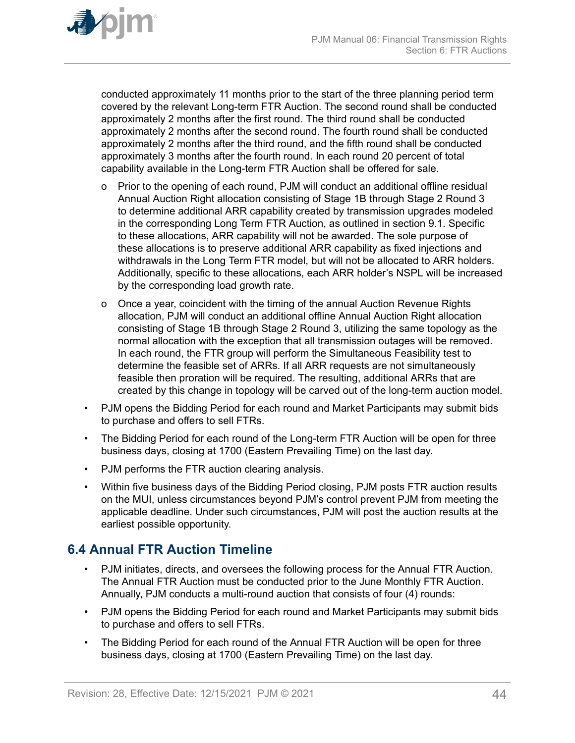<span id="page-43-0"></span>

conducted approximately 11 months prior to the start of the three planning period term covered by the relevant Long-term FTR Auction. The second round shall be conducted approximately 2 months after the first round. The third round shall be conducted approximately 2 months after the second round. The fourth round shall be conducted approximately 2 months after the third round, and the fifth round shall be conducted approximately 3 months after the fourth round. In each round 20 percent of total capability available in the Long-term FTR Auction shall be offered for sale.

- o Prior to the opening of each round, PJM will conduct an additional offline residual Annual Auction Right allocation consisting of Stage 1B through Stage 2 Round 3 to determine additional ARR capability created by transmission upgrades modeled in the corresponding Long Term FTR Auction, as outlined in section 9.1. Specific to these allocations, ARR capability will not be awarded. The sole purpose of these allocations is to preserve additional ARR capability as fixed injections and withdrawals in the Long Term FTR model, but will not be allocated to ARR holders. Additionally, specific to these allocations, each ARR holder's NSPL will be increased by the corresponding load growth rate.
- o Once a year, coincident with the timing of the annual Auction Revenue Rights allocation, PJM will conduct an additional offline Annual Auction Right allocation consisting of Stage 1B through Stage 2 Round 3, utilizing the same topology as the normal allocation with the exception that all transmission outages will be removed. In each round, the FTR group will perform the Simultaneous Feasibility test to determine the feasible set of ARRs. If all ARR requests are not simultaneously feasible then proration will be required. The resulting, additional ARRs that are created by this change in topology will be carved out of the long-term auction model.
- PJM opens the Bidding Period for each round and Market Participants may submit bids to purchase and offers to sell FTRs.
- The Bidding Period for each round of the Long-term FTR Auction will be open for three business days, closing at 1700 (Eastern Prevailing Time) on the last day.
- PJM performs the FTR auction clearing analysis.
- Within five business days of the Bidding Period closing, PJM posts FTR auction results on the MUI, unless circumstances beyond PJM's control prevent PJM from meeting the applicable deadline. Under such circumstances, PJM will post the auction results at the earliest possible opportunity.

### **6.4 Annual FTR Auction Timeline**

- PJM initiates, directs, and oversees the following process for the Annual FTR Auction. The Annual FTR Auction must be conducted prior to the June Monthly FTR Auction. Annually, PJM conducts a multi-round auction that consists of four (4) rounds:
- PJM opens the Bidding Period for each round and Market Participants may submit bids to purchase and offers to sell FTRs.
- The Bidding Period for each round of the Annual FTR Auction will be open for three business days, closing at 1700 (Eastern Prevailing Time) on the last day.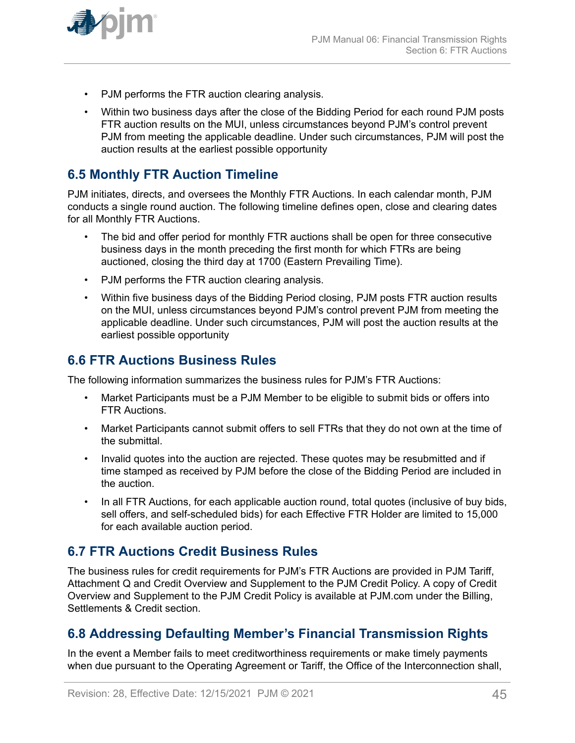<span id="page-44-0"></span>

- PJM performs the FTR auction clearing analysis.
- Within two business days after the close of the Bidding Period for each round PJM posts FTR auction results on the MUI, unless circumstances beyond PJM's control prevent PJM from meeting the applicable deadline. Under such circumstances, PJM will post the auction results at the earliest possible opportunity

# **6.5 Monthly FTR Auction Timeline**

PJM initiates, directs, and oversees the Monthly FTR Auctions. In each calendar month, PJM conducts a single round auction. The following timeline defines open, close and clearing dates for all Monthly FTR Auctions.

- The bid and offer period for monthly FTR auctions shall be open for three consecutive business days in the month preceding the first month for which FTRs are being auctioned, closing the third day at 1700 (Eastern Prevailing Time).
- PJM performs the FTR auction clearing analysis.
- Within five business days of the Bidding Period closing, PJM posts FTR auction results on the MUI, unless circumstances beyond PJM's control prevent PJM from meeting the applicable deadline. Under such circumstances, PJM will post the auction results at the earliest possible opportunity

# **6.6 FTR Auctions Business Rules**

The following information summarizes the business rules for PJM's FTR Auctions:

- Market Participants must be a PJM Member to be eligible to submit bids or offers into FTR Auctions.
- Market Participants cannot submit offers to sell FTRs that they do not own at the time of the submittal.
- Invalid quotes into the auction are rejected. These quotes may be resubmitted and if time stamped as received by PJM before the close of the Bidding Period are included in the auction.
- In all FTR Auctions, for each applicable auction round, total quotes (inclusive of buy bids, sell offers, and self-scheduled bids) for each Effective FTR Holder are limited to 15,000 for each available auction period.

### **6.7 FTR Auctions Credit Business Rules**

The business rules for credit requirements for PJM's FTR Auctions are provided in PJM Tariff, Attachment Q and Credit Overview and Supplement to the PJM Credit Policy. A copy of Credit Overview and Supplement to the PJM Credit Policy is available at PJM.com under the Billing, Settlements & Credit section.

# **6.8 Addressing Defaulting Member's Financial Transmission Rights**

In the event a Member fails to meet creditworthiness requirements or make timely payments when due pursuant to the Operating Agreement or Tariff, the Office of the Interconnection shall,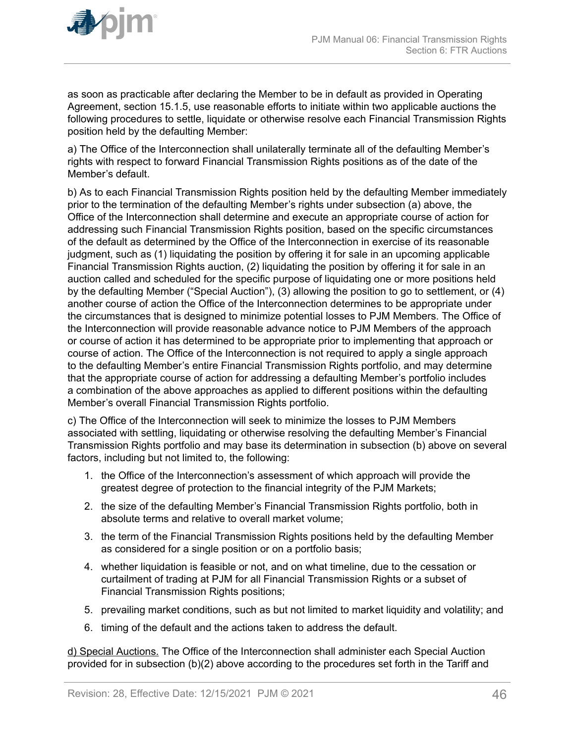

as soon as practicable after declaring the Member to be in default as provided in Operating Agreement, section 15.1.5, use reasonable efforts to initiate within two applicable auctions the following procedures to settle, liquidate or otherwise resolve each Financial Transmission Rights position held by the defaulting Member:

a) The Office of the Interconnection shall unilaterally terminate all of the defaulting Member's rights with respect to forward Financial Transmission Rights positions as of the date of the Member's default.

b) As to each Financial Transmission Rights position held by the defaulting Member immediately prior to the termination of the defaulting Member's rights under subsection (a) above, the Office of the Interconnection shall determine and execute an appropriate course of action for addressing such Financial Transmission Rights position, based on the specific circumstances of the default as determined by the Office of the Interconnection in exercise of its reasonable judgment, such as (1) liquidating the position by offering it for sale in an upcoming applicable Financial Transmission Rights auction, (2) liquidating the position by offering it for sale in an auction called and scheduled for the specific purpose of liquidating one or more positions held by the defaulting Member ("Special Auction"), (3) allowing the position to go to settlement, or (4) another course of action the Office of the Interconnection determines to be appropriate under the circumstances that is designed to minimize potential losses to PJM Members. The Office of the Interconnection will provide reasonable advance notice to PJM Members of the approach or course of action it has determined to be appropriate prior to implementing that approach or course of action. The Office of the Interconnection is not required to apply a single approach to the defaulting Member's entire Financial Transmission Rights portfolio, and may determine that the appropriate course of action for addressing a defaulting Member's portfolio includes a combination of the above approaches as applied to different positions within the defaulting Member's overall Financial Transmission Rights portfolio.

c) The Office of the Interconnection will seek to minimize the losses to PJM Members associated with settling, liquidating or otherwise resolving the defaulting Member's Financial Transmission Rights portfolio and may base its determination in subsection (b) above on several factors, including but not limited to, the following:

- 1. the Office of the Interconnection's assessment of which approach will provide the greatest degree of protection to the financial integrity of the PJM Markets;
- 2. the size of the defaulting Member's Financial Transmission Rights portfolio, both in absolute terms and relative to overall market volume;
- 3. the term of the Financial Transmission Rights positions held by the defaulting Member as considered for a single position or on a portfolio basis;
- 4. whether liquidation is feasible or not, and on what timeline, due to the cessation or curtailment of trading at PJM for all Financial Transmission Rights or a subset of Financial Transmission Rights positions;
- 5. prevailing market conditions, such as but not limited to market liquidity and volatility; and
- 6. timing of the default and the actions taken to address the default.

d) Special Auctions. The Office of the Interconnection shall administer each Special Auction provided for in subsection (b)(2) above according to the procedures set forth in the Tariff and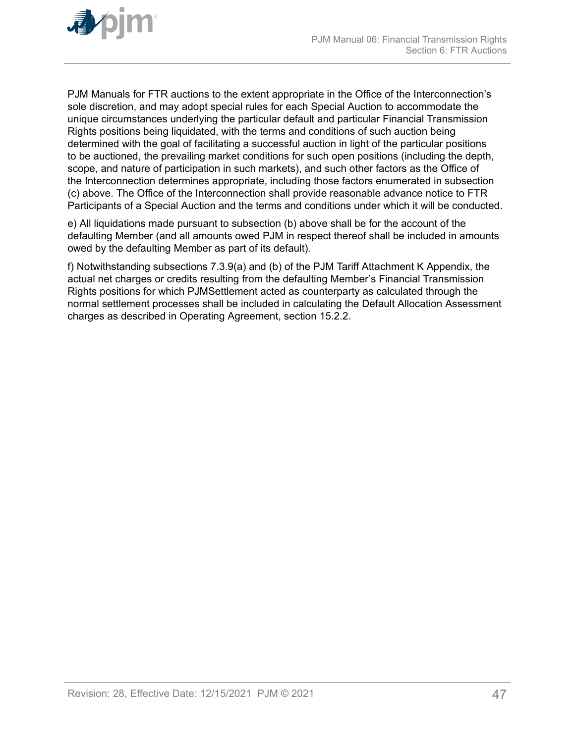

PJM Manuals for FTR auctions to the extent appropriate in the Office of the Interconnection's sole discretion, and may adopt special rules for each Special Auction to accommodate the unique circumstances underlying the particular default and particular Financial Transmission Rights positions being liquidated, with the terms and conditions of such auction being determined with the goal of facilitating a successful auction in light of the particular positions to be auctioned, the prevailing market conditions for such open positions (including the depth, scope, and nature of participation in such markets), and such other factors as the Office of the Interconnection determines appropriate, including those factors enumerated in subsection (c) above. The Office of the Interconnection shall provide reasonable advance notice to FTR Participants of a Special Auction and the terms and conditions under which it will be conducted.

e) All liquidations made pursuant to subsection (b) above shall be for the account of the defaulting Member (and all amounts owed PJM in respect thereof shall be included in amounts owed by the defaulting Member as part of its default).

f) Notwithstanding subsections 7.3.9(a) and (b) of the PJM Tariff Attachment K Appendix, the actual net charges or credits resulting from the defaulting Member's Financial Transmission Rights positions for which PJMSettlement acted as counterparty as calculated through the normal settlement processes shall be included in calculating the Default Allocation Assessment charges as described in Operating Agreement, section 15.2.2.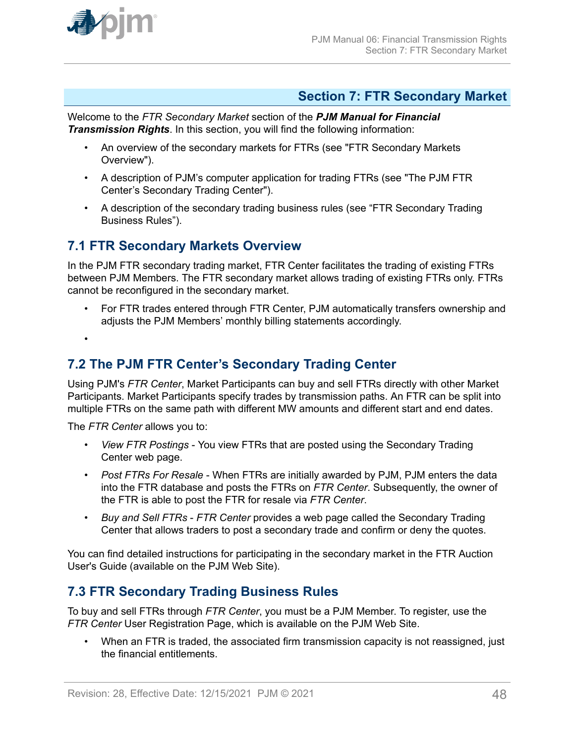<span id="page-47-0"></span>

### **Section 7: FTR Secondary Market**

Welcome to the *FTR Secondary Market* section of the *PJM Manual for Financial Transmission Rights*. In this section, you will find the following information:

- An overview of the secondary markets for FTRs (see "FTR Secondary Markets Overview").
- A description of PJM's computer application for trading FTRs (see "The PJM FTR Center's Secondary Trading Center").
- A description of the secondary trading business rules (see "FTR Secondary Trading Business Rules").

### **7.1 FTR Secondary Markets Overview**

In the PJM FTR secondary trading market, FTR Center facilitates the trading of existing FTRs between PJM Members. The FTR secondary market allows trading of existing FTRs only. FTRs cannot be reconfigured in the secondary market.

• For FTR trades entered through FTR Center, PJM automatically transfers ownership and adjusts the PJM Members' monthly billing statements accordingly.

•

# **7.2 The PJM FTR Center's Secondary Trading Center**

Using PJM's *FTR Center*, Market Participants can buy and sell FTRs directly with other Market Participants. Market Participants specify trades by transmission paths. An FTR can be split into multiple FTRs on the same path with different MW amounts and different start and end dates.

The *FTR Center* allows you to:

- *View FTR Postings* You view FTRs that are posted using the Secondary Trading Center web page.
- *Post FTRs For Resale* When FTRs are initially awarded by PJM, PJM enters the data into the FTR database and posts the FTRs on *FTR Center*. Subsequently, the owner of the FTR is able to post the FTR for resale via *FTR Center*.
- *Buy and Sell FTRs FTR Center* provides a web page called the Secondary Trading Center that allows traders to post a secondary trade and confirm or deny the quotes.

You can find detailed instructions for participating in the secondary market in the FTR Auction User's Guide (available on the PJM Web Site).

# **7.3 FTR Secondary Trading Business Rules**

To buy and sell FTRs through *FTR Center*, you must be a PJM Member. To register, use the *FTR Center* User Registration Page, which is available on the PJM Web Site.

• When an FTR is traded, the associated firm transmission capacity is not reassigned, just the financial entitlements.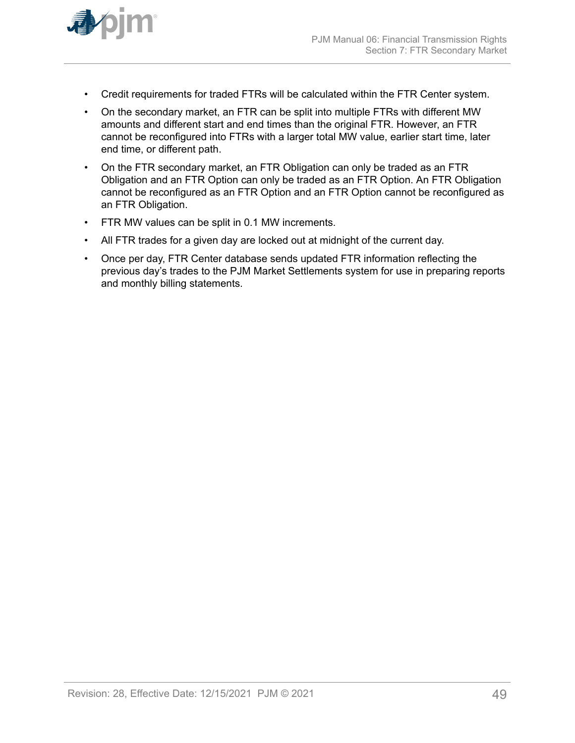

- Credit requirements for traded FTRs will be calculated within the FTR Center system.
- On the secondary market, an FTR can be split into multiple FTRs with different MW amounts and different start and end times than the original FTR. However, an FTR cannot be reconfigured into FTRs with a larger total MW value, earlier start time, later end time, or different path.
- On the FTR secondary market, an FTR Obligation can only be traded as an FTR Obligation and an FTR Option can only be traded as an FTR Option. An FTR Obligation cannot be reconfigured as an FTR Option and an FTR Option cannot be reconfigured as an FTR Obligation.
- FTR MW values can be split in 0.1 MW increments.
- All FTR trades for a given day are locked out at midnight of the current day.
- Once per day, FTR Center database sends updated FTR information reflecting the previous day's trades to the PJM Market Settlements system for use in preparing reports and monthly billing statements.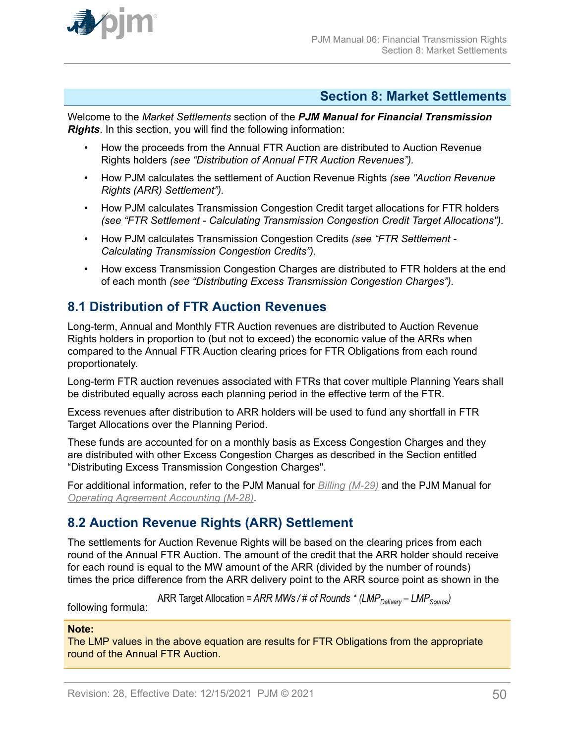<span id="page-49-0"></span>

### **Section 8: Market Settlements**

Welcome to the *Market Settlements* section of the *PJM Manual for Financial Transmission Rights*. In this section, you will find the following information:

- How the proceeds from the Annual FTR Auction are distributed to Auction Revenue Rights holders *(see "Distribution of Annual FTR Auction Revenues").*
- How PJM calculates the settlement of Auction Revenue Rights *(see "Auction Revenue Rights (ARR) Settlement").*
- How PJM calculates Transmission Congestion Credit target allocations for FTR holders *(see "FTR Settlement - Calculating Transmission Congestion Credit Target Allocations").*
- How PJM calculates Transmission Congestion Credits *(see "FTR Settlement - Calculating Transmission Congestion Credits").*
- How excess Transmission Congestion Charges are distributed to FTR holders at the end of each month *(see "Distributing Excess Transmission Congestion Charges").*

# **8.1 Distribution of FTR Auction Revenues**

Long-term, Annual and Monthly FTR Auction revenues are distributed to Auction Revenue Rights holders in proportion to (but not to exceed) the economic value of the ARRs when compared to the Annual FTR Auction clearing prices for FTR Obligations from each round proportionately.

Long-term FTR auction revenues associated with FTRs that cover multiple Planning Years shall be distributed equally across each planning period in the effective term of the FTR.

Excess revenues after distribution to ARR holders will be used to fund any shortfall in FTR Target Allocations over the Planning Period.

These funds are accounted for on a monthly basis as Excess Congestion Charges and they are distributed with other Excess Congestion Charges as described in the Section entitled "Distributing Excess Transmission Congestion Charges".

For additional information, refer to the PJM Manual for *[Billing \(M-29\)](http://www.pjm.com/~/media/documents/manuals/m29.ashx)* and the PJM Manual for *[Operating Agreement Accounting \(M-28\)](http://www.pjm.com/~/media/documents/manuals/m28.ashx)*.

# **8.2 Auction Revenue Rights (ARR) Settlement**

The settlements for Auction Revenue Rights will be based on the clearing prices from each round of the Annual FTR Auction. The amount of the credit that the ARR holder should receive for each round is equal to the MW amount of the ARR (divided by the number of rounds) times the price difference from the ARR delivery point to the ARR source point as shown in the

ARR Target Allocation = ARR MWs / # of Rounds \* (LMP<sub>Delivery</sub> – LMP<sub>Source</sub>)

following formula:

### **Note:**

The LMP values in the above equation are results for FTR Obligations from the appropriate round of the Annual FTR Auction.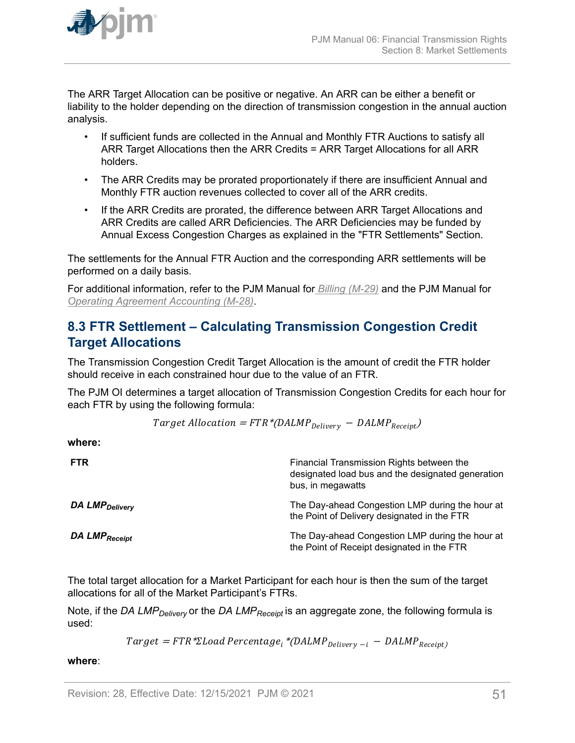<span id="page-50-0"></span>

The ARR Target Allocation can be positive or negative. An ARR can be either a benefit or liability to the holder depending on the direction of transmission congestion in the annual auction analysis.

- If sufficient funds are collected in the Annual and Monthly FTR Auctions to satisfy all ARR Target Allocations then the ARR Credits = ARR Target Allocations for all ARR holders.
- The ARR Credits may be prorated proportionately if there are insufficient Annual and Monthly FTR auction revenues collected to cover all of the ARR credits.
- If the ARR Credits are prorated, the difference between ARR Target Allocations and ARR Credits are called ARR Deficiencies. The ARR Deficiencies may be funded by Annual Excess Congestion Charges as explained in the "FTR Settlements" Section.

The settlements for the Annual FTR Auction and the corresponding ARR settlements will be performed on a daily basis.

For additional information, refer to the PJM Manual for *[Billing \(M-29\)](http://www.pjm.com/~/media/documents/manuals/m29.ashx)* and the PJM Manual for *[Operating Agreement Accounting \(M-28\)](http://www.pjm.com/~/media/documents/manuals/m28.ashx)*.

# **8.3 FTR Settlement – Calculating Transmission Congestion Credit Target Allocations**

The Transmission Congestion Credit Target Allocation is the amount of credit the FTR holder should receive in each constrained hour due to the value of an FTR.

The PJM OI determines a target allocation of Transmission Congestion Credits for each hour for each FTR by using the following formula:

$$
Target \; Allocation = FTR * (DALMP_{Delivery} - DALMP_{Receipt})
$$

**where:**

| <b>FTR</b>                 | Financial Transmission Rights between the<br>designated load bus and the designated generation<br>bus, in megawatts |
|----------------------------|---------------------------------------------------------------------------------------------------------------------|
| DA LMP <sub>Delivery</sub> | The Day-ahead Congestion LMP during the hour at<br>the Point of Delivery designated in the FTR                      |
| DA LMP <sub>Receipt</sub>  | The Day-ahead Congestion LMP during the hour at<br>the Point of Receipt designated in the FTR                       |

The total target allocation for a Market Participant for each hour is then the sum of the target allocations for all of the Market Participant's FTRs.

Note, if the *DA LMPDelivery* or the *DA LMPReceipt* is an aggregate zone, the following formula is used:

 $Target = FTR * \Sigma Load Percentage_i * (DALMP_{Delivery - i} - DALMP_{Receipt})$ 

**where**: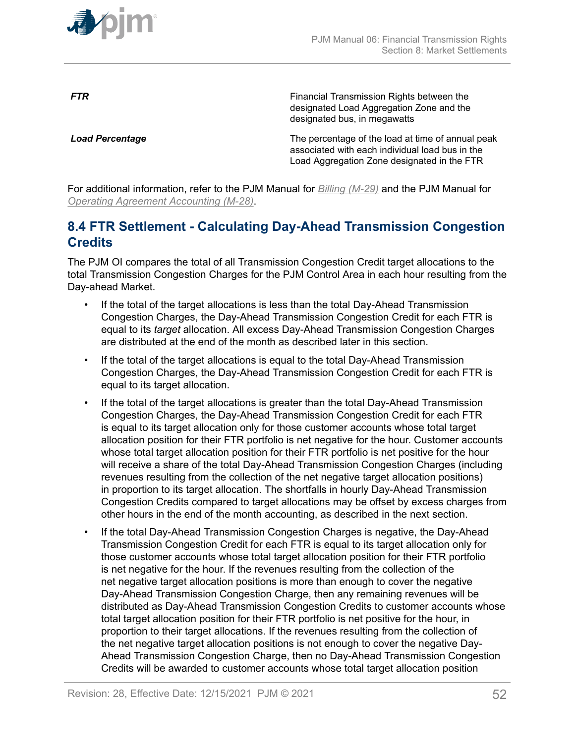<span id="page-51-0"></span>

**FTR** FINE **FINE EXAMPLE TRANSMISS** Financial Transmission Rights between the designated Load Aggregation Zone and the designated bus, in megawatts

**Load Percentage** The percentage of the load at time of annual peak associated with each individual load bus in the Load Aggregation Zone designated in the FTR

For additional information, refer to the PJM Manual for *[Billing \(M-29\)](http://www.pjm.com/~/media/documents/manuals/m29.ashx)* and the PJM Manual for *[Operating Agreement Accounting \(M-28\)](http://www.pjm.com/~/media/documents/manuals/m28.ashx)*.

# **8.4 FTR Settlement - Calculating Day-Ahead Transmission Congestion Credits**

The PJM OI compares the total of all Transmission Congestion Credit target allocations to the total Transmission Congestion Charges for the PJM Control Area in each hour resulting from the Day-ahead Market.

- If the total of the target allocations is less than the total Day-Ahead Transmission Congestion Charges, the Day-Ahead Transmission Congestion Credit for each FTR is equal to its *target* allocation. All excess Day-Ahead Transmission Congestion Charges are distributed at the end of the month as described later in this section.
- If the total of the target allocations is equal to the total Day-Ahead Transmission Congestion Charges, the Day-Ahead Transmission Congestion Credit for each FTR is equal to its target allocation.
- If the total of the target allocations is greater than the total Day-Ahead Transmission Congestion Charges, the Day-Ahead Transmission Congestion Credit for each FTR is equal to its target allocation only for those customer accounts whose total target allocation position for their FTR portfolio is net negative for the hour. Customer accounts whose total target allocation position for their FTR portfolio is net positive for the hour will receive a share of the total Day-Ahead Transmission Congestion Charges (including revenues resulting from the collection of the net negative target allocation positions) in proportion to its target allocation. The shortfalls in hourly Day-Ahead Transmission Congestion Credits compared to target allocations may be offset by excess charges from other hours in the end of the month accounting, as described in the next section.
- If the total Day-Ahead Transmission Congestion Charges is negative, the Day-Ahead Transmission Congestion Credit for each FTR is equal to its target allocation only for those customer accounts whose total target allocation position for their FTR portfolio is net negative for the hour. If the revenues resulting from the collection of the net negative target allocation positions is more than enough to cover the negative Day-Ahead Transmission Congestion Charge, then any remaining revenues will be distributed as Day-Ahead Transmission Congestion Credits to customer accounts whose total target allocation position for their FTR portfolio is net positive for the hour, in proportion to their target allocations. If the revenues resulting from the collection of the net negative target allocation positions is not enough to cover the negative Day-Ahead Transmission Congestion Charge, then no Day-Ahead Transmission Congestion Credits will be awarded to customer accounts whose total target allocation position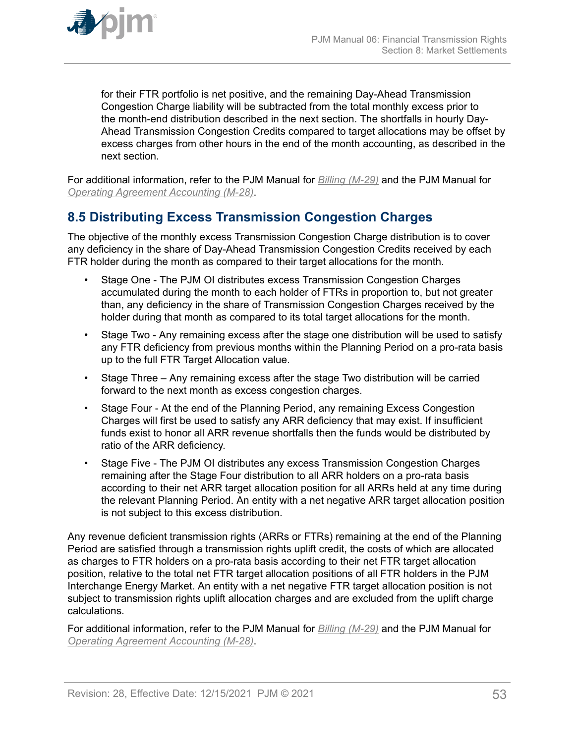<span id="page-52-0"></span>

for their FTR portfolio is net positive, and the remaining Day-Ahead Transmission Congestion Charge liability will be subtracted from the total monthly excess prior to the month-end distribution described in the next section. The shortfalls in hourly Day-Ahead Transmission Congestion Credits compared to target allocations may be offset by excess charges from other hours in the end of the month accounting, as described in the next section.

For additional information, refer to the PJM Manual for *[Billing \(M-29\)](http://www.pjm.com/contributions/pjm-manuals/pdf/m28v24.pdf)* and the PJM Manual for *[Operating Agreement Accounting \(M-28\)](http://www.pjm.com/~/media/documents/manuals/m28.ashx)*.

# **8.5 Distributing Excess Transmission Congestion Charges**

The objective of the monthly excess Transmission Congestion Charge distribution is to cover any deficiency in the share of Day-Ahead Transmission Congestion Credits received by each FTR holder during the month as compared to their target allocations for the month.

- Stage One The PJM OI distributes excess Transmission Congestion Charges accumulated during the month to each holder of FTRs in proportion to, but not greater than, any deficiency in the share of Transmission Congestion Charges received by the holder during that month as compared to its total target allocations for the month.
- Stage Two Any remaining excess after the stage one distribution will be used to satisfy any FTR deficiency from previous months within the Planning Period on a pro-rata basis up to the full FTR Target Allocation value.
- Stage Three Any remaining excess after the stage Two distribution will be carried forward to the next month as excess congestion charges.
- Stage Four At the end of the Planning Period, any remaining Excess Congestion Charges will first be used to satisfy any ARR deficiency that may exist. If insufficient funds exist to honor all ARR revenue shortfalls then the funds would be distributed by ratio of the ARR deficiency.
- Stage Five The PJM OI distributes any excess Transmission Congestion Charges remaining after the Stage Four distribution to all ARR holders on a pro-rata basis according to their net ARR target allocation position for all ARRs held at any time during the relevant Planning Period. An entity with a net negative ARR target allocation position is not subject to this excess distribution.

Any revenue deficient transmission rights (ARRs or FTRs) remaining at the end of the Planning Period are satisfied through a transmission rights uplift credit, the costs of which are allocated as charges to FTR holders on a pro-rata basis according to their net FTR target allocation position, relative to the total net FTR target allocation positions of all FTR holders in the PJM Interchange Energy Market. An entity with a net negative FTR target allocation position is not subject to transmission rights uplift allocation charges and are excluded from the uplift charge calculations.

For additional information, refer to the PJM Manual for *[Billing \(M-29\)](http://www.pjm.com/~/media/documents/manuals/m29.ashx)* and the PJM Manual for *[Operating Agreement Accounting \(M-28\)](http://www.pjm.com/~/media/documents/manuals/m28.ashx)*.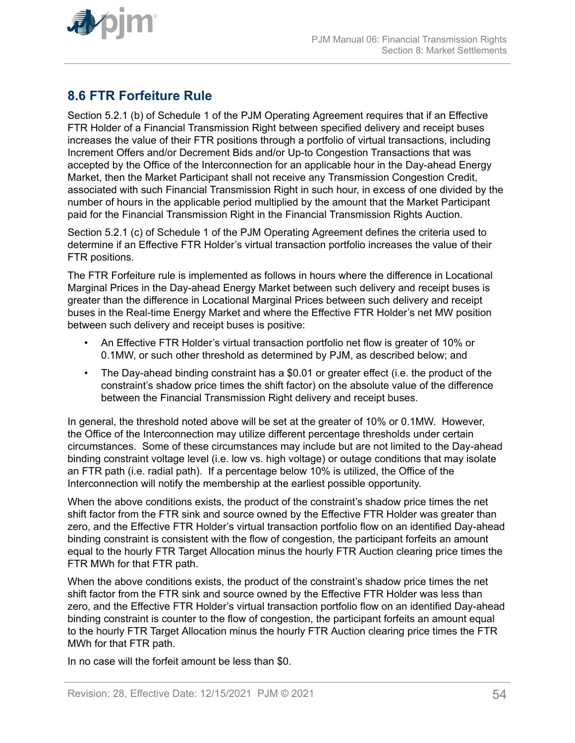<span id="page-53-0"></span>

# **8.6 FTR Forfeiture Rule**

Section 5.2.1 (b) of Schedule 1 of the PJM Operating Agreement requires that if an Effective FTR Holder of a Financial Transmission Right between specified delivery and receipt buses increases the value of their FTR positions through a portfolio of virtual transactions, including Increment Offers and/or Decrement Bids and/or Up-to Congestion Transactions that was accepted by the Office of the Interconnection for an applicable hour in the Day-ahead Energy Market, then the Market Participant shall not receive any Transmission Congestion Credit, associated with such Financial Transmission Right in such hour, in excess of one divided by the number of hours in the applicable period multiplied by the amount that the Market Participant paid for the Financial Transmission Right in the Financial Transmission Rights Auction.

Section 5.2.1 (c) of Schedule 1 of the PJM Operating Agreement defines the criteria used to determine if an Effective FTR Holder's virtual transaction portfolio increases the value of their FTR positions.

The FTR Forfeiture rule is implemented as follows in hours where the difference in Locational Marginal Prices in the Day-ahead Energy Market between such delivery and receipt buses is greater than the difference in Locational Marginal Prices between such delivery and receipt buses in the Real-time Energy Market and where the Effective FTR Holder's net MW position between such delivery and receipt buses is positive:

- An Effective FTR Holder's virtual transaction portfolio net flow is greater of 10% or 0.1MW, or such other threshold as determined by PJM, as described below; and
- The Day-ahead binding constraint has a \$0.01 or greater effect (i.e. the product of the constraint's shadow price times the shift factor) on the absolute value of the difference between the Financial Transmission Right delivery and receipt buses.

In general, the threshold noted above will be set at the greater of 10% or 0.1MW. However, the Office of the Interconnection may utilize different percentage thresholds under certain circumstances. Some of these circumstances may include but are not limited to the Day-ahead binding constraint voltage level (i.e. low vs. high voltage) or outage conditions that may isolate an FTR path (i.e. radial path). If a percentage below 10% is utilized, the Office of the Interconnection will notify the membership at the earliest possible opportunity.

When the above conditions exists, the product of the constraint's shadow price times the net shift factor from the FTR sink and source owned by the Effective FTR Holder was greater than zero, and the Effective FTR Holder's virtual transaction portfolio flow on an identified Day-ahead binding constraint is consistent with the flow of congestion, the participant forfeits an amount equal to the hourly FTR Target Allocation minus the hourly FTR Auction clearing price times the FTR MWh for that FTR path.

When the above conditions exists, the product of the constraint's shadow price times the net shift factor from the FTR sink and source owned by the Effective FTR Holder was less than zero, and the Effective FTR Holder's virtual transaction portfolio flow on an identified Day-ahead binding constraint is counter to the flow of congestion, the participant forfeits an amount equal to the hourly FTR Target Allocation minus the hourly FTR Auction clearing price times the FTR MWh for that FTR path.

In no case will the forfeit amount be less than \$0.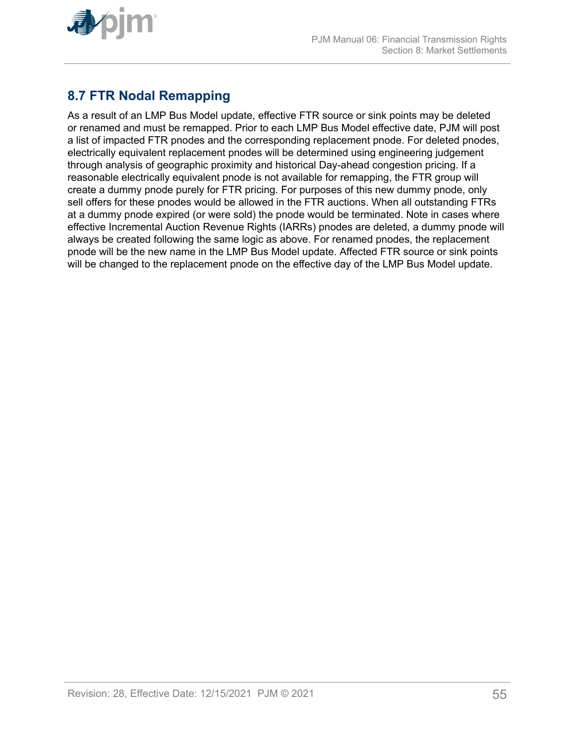<span id="page-54-0"></span>

# **8.7 FTR Nodal Remapping**

As a result of an LMP Bus Model update, effective FTR source or sink points may be deleted or renamed and must be remapped. Prior to each LMP Bus Model effective date, PJM will post a list of impacted FTR pnodes and the corresponding replacement pnode. For deleted pnodes, electrically equivalent replacement pnodes will be determined using engineering judgement through analysis of geographic proximity and historical Day-ahead congestion pricing. If a reasonable electrically equivalent pnode is not available for remapping, the FTR group will create a dummy pnode purely for FTR pricing. For purposes of this new dummy pnode, only sell offers for these pnodes would be allowed in the FTR auctions. When all outstanding FTRs at a dummy pnode expired (or were sold) the pnode would be terminated. Note in cases where effective Incremental Auction Revenue Rights (IARRs) pnodes are deleted, a dummy pnode will always be created following the same logic as above. For renamed pnodes, the replacement pnode will be the new name in the LMP Bus Model update. Affected FTR source or sink points will be changed to the replacement pnode on the effective day of the LMP Bus Model update.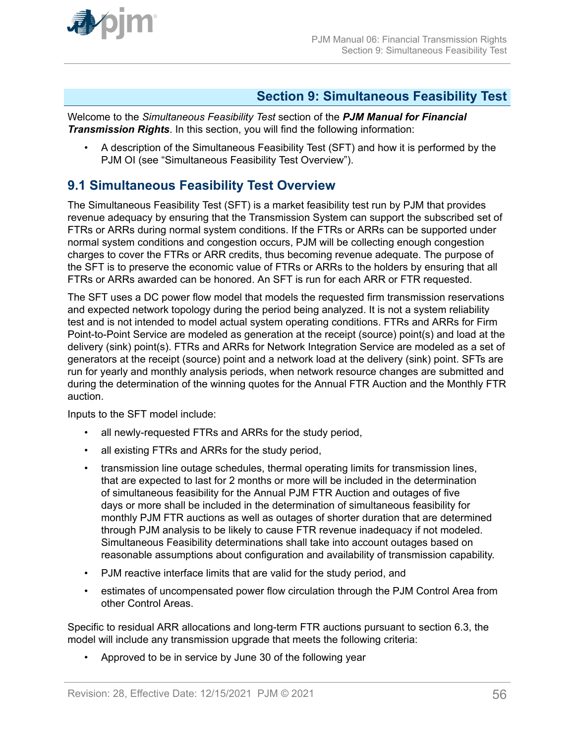<span id="page-55-0"></span>

### **Section 9: Simultaneous Feasibility Test**

Welcome to the *Simultaneous Feasibility Test* section of the *PJM Manual for Financial Transmission Rights*. In this section, you will find the following information:

• A description of the Simultaneous Feasibility Test (SFT) and how it is performed by the PJM OI (see "Simultaneous Feasibility Test Overview").

# **9.1 Simultaneous Feasibility Test Overview**

The Simultaneous Feasibility Test (SFT) is a market feasibility test run by PJM that provides revenue adequacy by ensuring that the Transmission System can support the subscribed set of FTRs or ARRs during normal system conditions. If the FTRs or ARRs can be supported under normal system conditions and congestion occurs, PJM will be collecting enough congestion charges to cover the FTRs or ARR credits, thus becoming revenue adequate. The purpose of the SFT is to preserve the economic value of FTRs or ARRs to the holders by ensuring that all FTRs or ARRs awarded can be honored. An SFT is run for each ARR or FTR requested.

The SFT uses a DC power flow model that models the requested firm transmission reservations and expected network topology during the period being analyzed. It is not a system reliability test and is not intended to model actual system operating conditions. FTRs and ARRs for Firm Point-to-Point Service are modeled as generation at the receipt (source) point(s) and load at the delivery (sink) point(s). FTRs and ARRs for Network Integration Service are modeled as a set of generators at the receipt (source) point and a network load at the delivery (sink) point. SFTs are run for yearly and monthly analysis periods, when network resource changes are submitted and during the determination of the winning quotes for the Annual FTR Auction and the Monthly FTR auction.

Inputs to the SFT model include:

- all newly-requested FTRs and ARRs for the study period,
- all existing FTRs and ARRs for the study period,
- transmission line outage schedules, thermal operating limits for transmission lines, that are expected to last for 2 months or more will be included in the determination of simultaneous feasibility for the Annual PJM FTR Auction and outages of five days or more shall be included in the determination of simultaneous feasibility for monthly PJM FTR auctions as well as outages of shorter duration that are determined through PJM analysis to be likely to cause FTR revenue inadequacy if not modeled. Simultaneous Feasibility determinations shall take into account outages based on reasonable assumptions about configuration and availability of transmission capability.
- PJM reactive interface limits that are valid for the study period, and
- estimates of uncompensated power flow circulation through the PJM Control Area from other Control Areas.

Specific to residual ARR allocations and long-term FTR auctions pursuant to section 6.3, the model will include any transmission upgrade that meets the following criteria:

• Approved to be in service by June 30 of the following year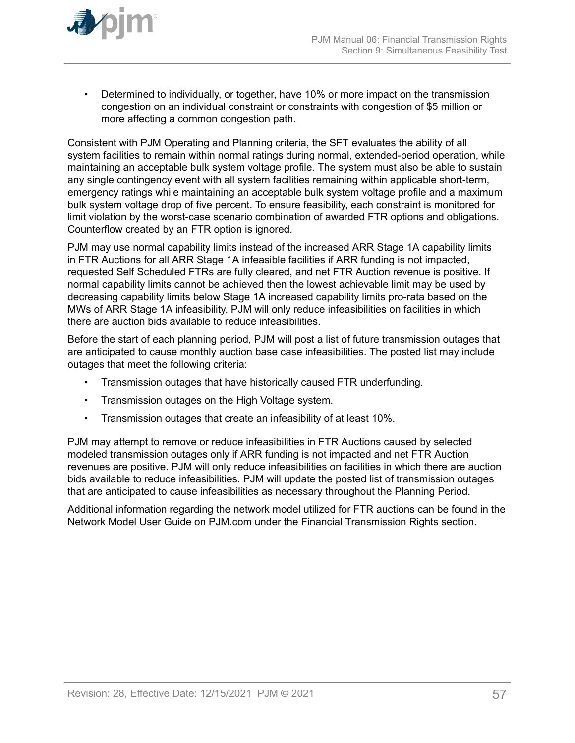

• Determined to individually, or together, have 10% or more impact on the transmission congestion on an individual constraint or constraints with congestion of \$5 million or more affecting a common congestion path.

Consistent with PJM Operating and Planning criteria, the SFT evaluates the ability of all system facilities to remain within normal ratings during normal, extended-period operation, while maintaining an acceptable bulk system voltage profile. The system must also be able to sustain any single contingency event with all system facilities remaining within applicable short-term, emergency ratings while maintaining an acceptable bulk system voltage profile and a maximum bulk system voltage drop of five percent. To ensure feasibility, each constraint is monitored for limit violation by the worst-case scenario combination of awarded FTR options and obligations. Counterflow created by an FTR option is ignored.

PJM may use normal capability limits instead of the increased ARR Stage 1A capability limits in FTR Auctions for all ARR Stage 1A infeasible facilities if ARR funding is not impacted, requested Self Scheduled FTRs are fully cleared, and net FTR Auction revenue is positive. If normal capability limits cannot be achieved then the lowest achievable limit may be used by decreasing capability limits below Stage 1A increased capability limits pro-rata based on the MWs of ARR Stage 1A infeasibility. PJM will only reduce infeasibilities on facilities in which there are auction bids available to reduce infeasibilities.

Before the start of each planning period, PJM will post a list of future transmission outages that are anticipated to cause monthly auction base case infeasibilities. The posted list may include outages that meet the following criteria:

- Transmission outages that have historically caused FTR underfunding.
- Transmission outages on the High Voltage system.
- Transmission outages that create an infeasibility of at least 10%.

PJM may attempt to remove or reduce infeasibilities in FTR Auctions caused by selected modeled transmission outages only if ARR funding is not impacted and net FTR Auction revenues are positive. PJM will only reduce infeasibilities on facilities in which there are auction bids available to reduce infeasibilities. PJM will update the posted list of transmission outages that are anticipated to cause infeasibilities as necessary throughout the Planning Period.

Additional information regarding the network model utilized for FTR auctions can be found in the Network Model User Guide on PJM.com under the Financial Transmission Rights section.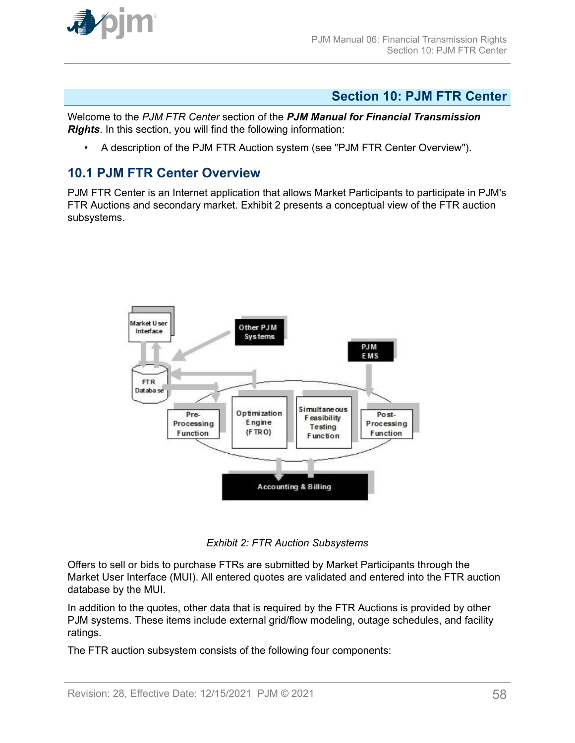<span id="page-57-0"></span>

### **Section 10: PJM FTR Center**

Welcome to the *PJM FTR Center* section of the *PJM Manual for Financial Transmission Rights*. In this section, you will find the following information:

• A description of the PJM FTR Auction system (see "PJM FTR Center Overview").

### **10.1 PJM FTR Center Overview**

PJM FTR Center is an Internet application that allows Market Participants to participate in PJM's FTR Auctions and secondary market. Exhibit 2 presents a conceptual view of the FTR auction subsystems.



*Exhibit 2: FTR Auction Subsystems*

Offers to sell or bids to purchase FTRs are submitted by Market Participants through the Market User Interface (MUI). All entered quotes are validated and entered into the FTR auction database by the MUI.

In addition to the quotes, other data that is required by the FTR Auctions is provided by other PJM systems. These items include external grid/flow modeling, outage schedules, and facility ratings.

The FTR auction subsystem consists of the following four components: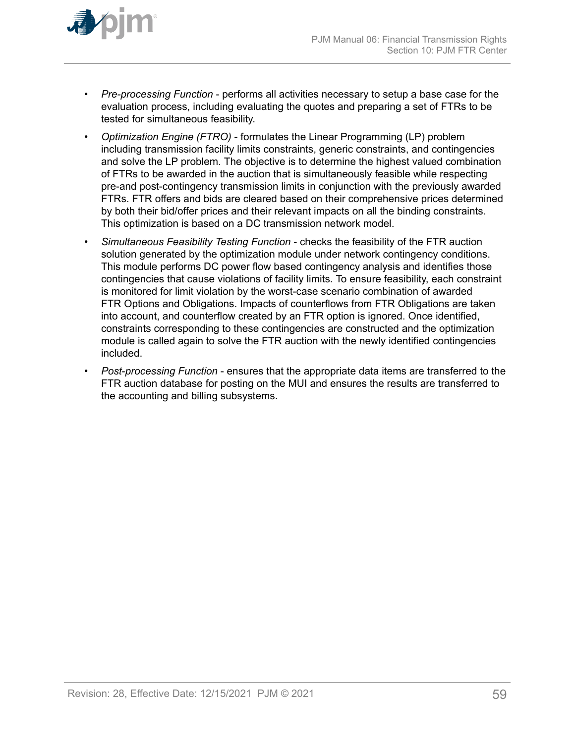

- *Pre-processing Function* performs all activities necessary to setup a base case for the evaluation process, including evaluating the quotes and preparing a set of FTRs to be tested for simultaneous feasibility.
- *Optimization Engine (FTRO)* formulates the Linear Programming (LP) problem including transmission facility limits constraints, generic constraints, and contingencies and solve the LP problem. The objective is to determine the highest valued combination of FTRs to be awarded in the auction that is simultaneously feasible while respecting pre-and post-contingency transmission limits in conjunction with the previously awarded FTRs. FTR offers and bids are cleared based on their comprehensive prices determined by both their bid/offer prices and their relevant impacts on all the binding constraints. This optimization is based on a DC transmission network model.
- *Simultaneous Feasibility Testing Function* checks the feasibility of the FTR auction solution generated by the optimization module under network contingency conditions. This module performs DC power flow based contingency analysis and identifies those contingencies that cause violations of facility limits. To ensure feasibility, each constraint is monitored for limit violation by the worst-case scenario combination of awarded FTR Options and Obligations. Impacts of counterflows from FTR Obligations are taken into account, and counterflow created by an FTR option is ignored. Once identified, constraints corresponding to these contingencies are constructed and the optimization module is called again to solve the FTR auction with the newly identified contingencies included.
- *Post*-*processing Function* ensures that the appropriate data items are transferred to the FTR auction database for posting on the MUI and ensures the results are transferred to the accounting and billing subsystems.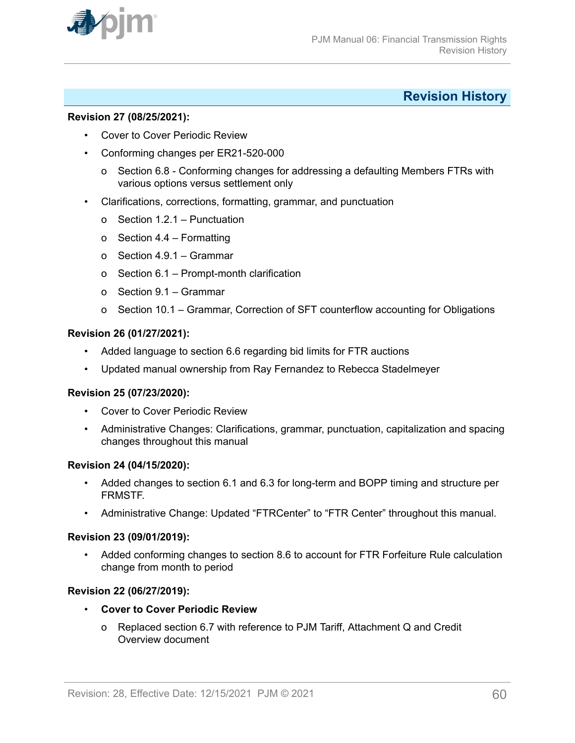<span id="page-59-0"></span>

### **Revision History**

#### **Revision 27 (08/25/2021):**

- Cover to Cover Periodic Review
- Conforming changes per ER21-520-000
	- o Section 6.8 Conforming changes for addressing a defaulting Members FTRs with various options versus settlement only
- Clarifications, corrections, formatting, grammar, and punctuation
	- o Section 1.2.1 Punctuation
	- o Section 4.4 Formatting
	- o Section 4.9.1 Grammar
	- o Section 6.1 Prompt-month clarification
	- o Section 9.1 Grammar
	- o Section 10.1 Grammar, Correction of SFT counterflow accounting for Obligations

### **Revision 26 (01/27/2021):**

- Added language to section 6.6 regarding bid limits for FTR auctions
- Updated manual ownership from Ray Fernandez to Rebecca Stadelmeyer

### **Revision 25 (07/23/2020):**

- Cover to Cover Periodic Review
- Administrative Changes: Clarifications, grammar, punctuation, capitalization and spacing changes throughout this manual

#### **Revision 24 (04/15/2020):**

- Added changes to section 6.1 and 6.3 for long-term and BOPP timing and structure per FRMSTF.
- Administrative Change: Updated "FTRCenter" to "FTR Center" throughout this manual.

### **Revision 23 (09/01/2019):**

• Added conforming changes to section 8.6 to account for FTR Forfeiture Rule calculation change from month to period

### **Revision 22 (06/27/2019):**

- **Cover to Cover Periodic Review**
	- o Replaced section 6.7 with reference to PJM Tariff, Attachment Q and Credit Overview document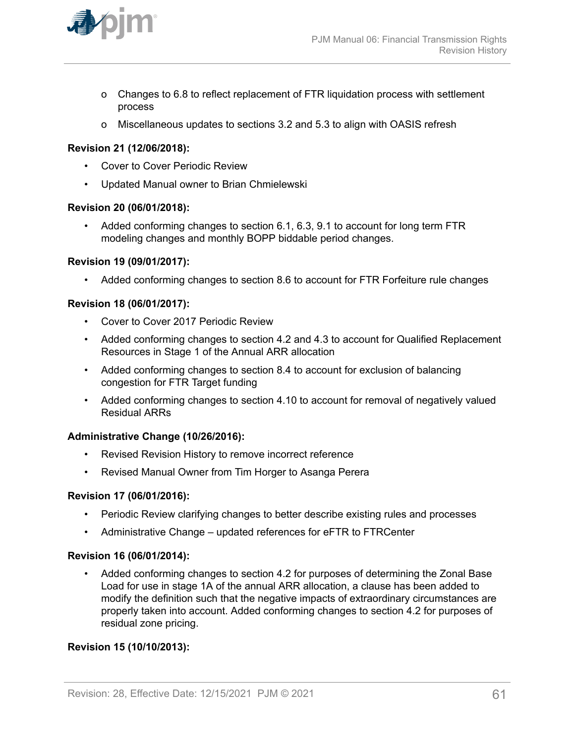

- o Changes to 6.8 to reflect replacement of FTR liquidation process with settlement process
- o Miscellaneous updates to sections 3.2 and 5.3 to align with OASIS refresh

### **Revision 21 (12/06/2018):**

- Cover to Cover Periodic Review
- Updated Manual owner to Brian Chmielewski

#### **Revision 20 (06/01/2018):**

• Added conforming changes to section 6.1, 6.3, 9.1 to account for long term FTR modeling changes and monthly BOPP biddable period changes.

#### **Revision 19 (09/01/2017):**

• Added conforming changes to section 8.6 to account for FTR Forfeiture rule changes

#### **Revision 18 (06/01/2017):**

- Cover to Cover 2017 Periodic Review
- Added conforming changes to section 4.2 and 4.3 to account for Qualified Replacement Resources in Stage 1 of the Annual ARR allocation
- Added conforming changes to section 8.4 to account for exclusion of balancing congestion for FTR Target funding
- Added conforming changes to section 4.10 to account for removal of negatively valued Residual ARRs

#### **Administrative Change (10/26/2016):**

- Revised Revision History to remove incorrect reference
- Revised Manual Owner from Tim Horger to Asanga Perera

#### **Revision 17 (06/01/2016):**

- Periodic Review clarifying changes to better describe existing rules and processes
- Administrative Change updated references for eFTR to FTRCenter

#### **Revision 16 (06/01/2014):**

• Added conforming changes to section 4.2 for purposes of determining the Zonal Base Load for use in stage 1A of the annual ARR allocation, a clause has been added to modify the definition such that the negative impacts of extraordinary circumstances are properly taken into account. Added conforming changes to section 4.2 for purposes of residual zone pricing.

### **Revision 15 (10/10/2013):**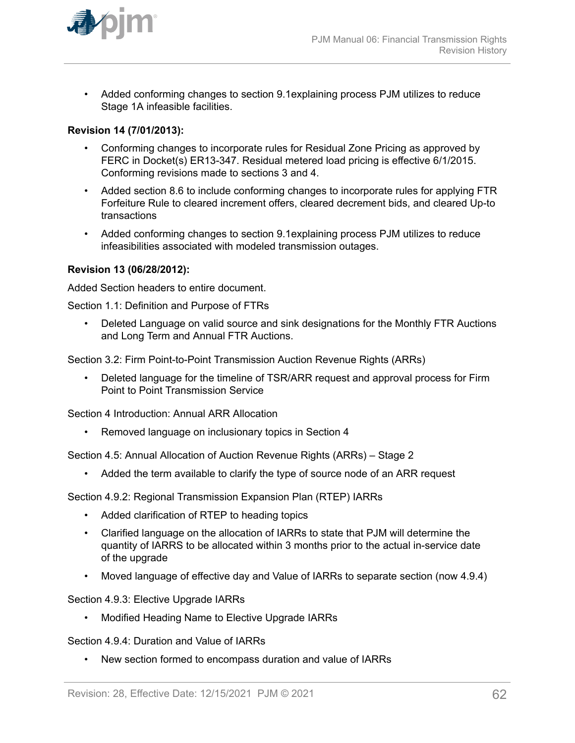

• Added conforming changes to section 9.1explaining process PJM utilizes to reduce Stage 1A infeasible facilities.

### **Revision 14 (7/01/2013):**

- Conforming changes to incorporate rules for Residual Zone Pricing as approved by FERC in Docket(s) ER13-347. Residual metered load pricing is effective 6/1/2015. Conforming revisions made to sections 3 and 4.
- Added section 8.6 to include conforming changes to incorporate rules for applying FTR Forfeiture Rule to cleared increment offers, cleared decrement bids, and cleared Up-to transactions
- Added conforming changes to section 9.1explaining process PJM utilizes to reduce infeasibilities associated with modeled transmission outages.

#### **Revision 13 (06/28/2012):**

Added Section headers to entire document.

Section 1.1: Definition and Purpose of FTRs

• Deleted Language on valid source and sink designations for the Monthly FTR Auctions and Long Term and Annual FTR Auctions.

Section 3.2: Firm Point-to-Point Transmission Auction Revenue Rights (ARRs)

• Deleted language for the timeline of TSR/ARR request and approval process for Firm Point to Point Transmission Service

Section 4 Introduction: Annual ARR Allocation

• Removed language on inclusionary topics in Section 4

Section 4.5: Annual Allocation of Auction Revenue Rights (ARRs) – Stage 2

• Added the term available to clarify the type of source node of an ARR request

Section 4.9.2: Regional Transmission Expansion Plan (RTEP) IARRs

- Added clarification of RTEP to heading topics
- Clarified language on the allocation of IARRs to state that PJM will determine the quantity of IARRS to be allocated within 3 months prior to the actual in-service date of the upgrade
- Moved language of effective day and Value of IARRs to separate section (now 4.9.4)

Section 4.9.3: Elective Upgrade IARRs

• Modified Heading Name to Elective Upgrade IARRs

Section 4.9.4: Duration and Value of IARRs

• New section formed to encompass duration and value of IARRs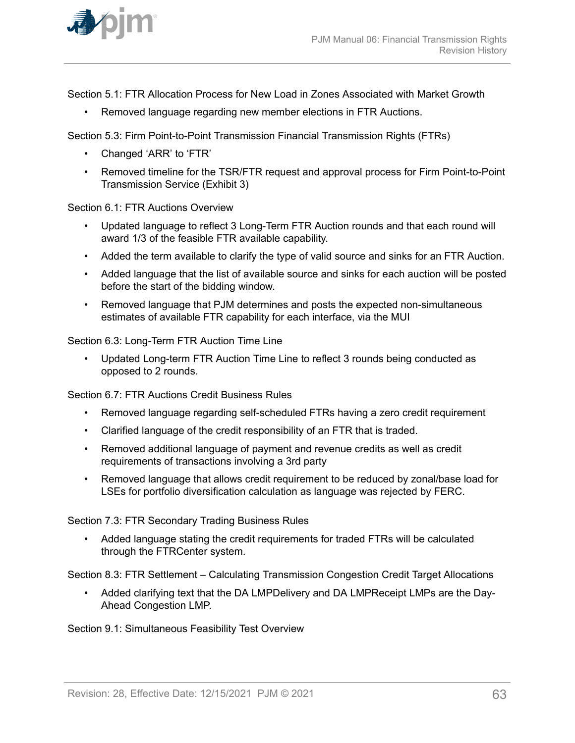

Section 5.1: FTR Allocation Process for New Load in Zones Associated with Market Growth

• Removed language regarding new member elections in FTR Auctions.

Section 5.3: Firm Point-to-Point Transmission Financial Transmission Rights (FTRs)

- Changed 'ARR' to 'FTR'
- Removed timeline for the TSR/FTR request and approval process for Firm Point-to-Point Transmission Service (Exhibit 3)

Section 6.1: FTR Auctions Overview

- Updated language to reflect 3 Long-Term FTR Auction rounds and that each round will award 1/3 of the feasible FTR available capability.
- Added the term available to clarify the type of valid source and sinks for an FTR Auction.
- Added language that the list of available source and sinks for each auction will be posted before the start of the bidding window.
- Removed language that PJM determines and posts the expected non-simultaneous estimates of available FTR capability for each interface, via the MUI

Section 6.3: Long-Term FTR Auction Time Line

• Updated Long-term FTR Auction Time Line to reflect 3 rounds being conducted as opposed to 2 rounds.

Section 6.7: FTR Auctions Credit Business Rules

- Removed language regarding self-scheduled FTRs having a zero credit requirement
- Clarified language of the credit responsibility of an FTR that is traded.
- Removed additional language of payment and revenue credits as well as credit requirements of transactions involving a 3rd party
- Removed language that allows credit requirement to be reduced by zonal/base load for LSEs for portfolio diversification calculation as language was rejected by FERC.

Section 7.3: FTR Secondary Trading Business Rules

• Added language stating the credit requirements for traded FTRs will be calculated through the FTRCenter system.

Section 8.3: FTR Settlement – Calculating Transmission Congestion Credit Target Allocations

• Added clarifying text that the DA LMPDelivery and DA LMPReceipt LMPs are the Day-Ahead Congestion LMP.

Section 9.1: Simultaneous Feasibility Test Overview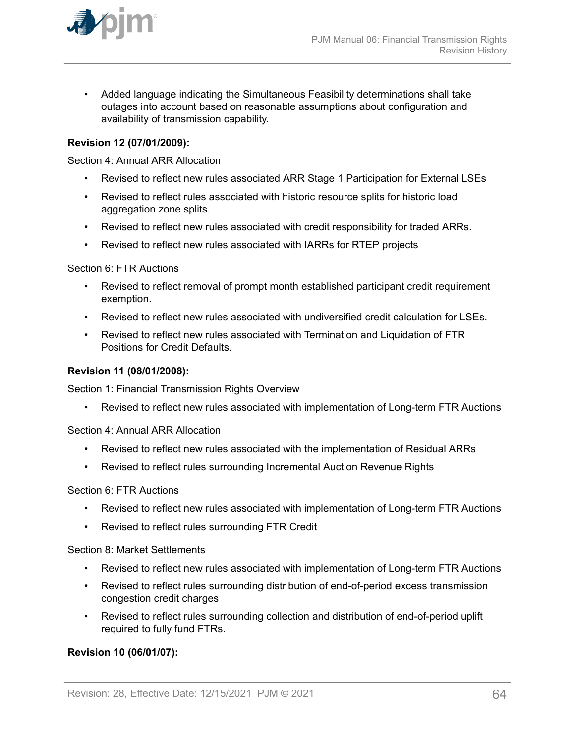

• Added language indicating the Simultaneous Feasibility determinations shall take outages into account based on reasonable assumptions about configuration and availability of transmission capability.

### **Revision 12 (07/01/2009):**

Section 4: Annual ARR Allocation

- Revised to reflect new rules associated ARR Stage 1 Participation for External LSEs
- Revised to reflect rules associated with historic resource splits for historic load aggregation zone splits.
- Revised to reflect new rules associated with credit responsibility for traded ARRs.
- Revised to reflect new rules associated with IARRs for RTEP projects

Section 6: FTR Auctions

- Revised to reflect removal of prompt month established participant credit requirement exemption.
- Revised to reflect new rules associated with undiversified credit calculation for LSEs.
- Revised to reflect new rules associated with Termination and Liquidation of FTR Positions for Credit Defaults.

#### **Revision 11 (08/01/2008):**

Section 1: Financial Transmission Rights Overview

• Revised to reflect new rules associated with implementation of Long-term FTR Auctions

Section 4: Annual ARR Allocation

- Revised to reflect new rules associated with the implementation of Residual ARRs
- Revised to reflect rules surrounding Incremental Auction Revenue Rights

Section 6: FTR Auctions

- Revised to reflect new rules associated with implementation of Long-term FTR Auctions
- Revised to reflect rules surrounding FTR Credit

Section 8: Market Settlements

- Revised to reflect new rules associated with implementation of Long-term FTR Auctions
- Revised to reflect rules surrounding distribution of end-of-period excess transmission congestion credit charges
- Revised to reflect rules surrounding collection and distribution of end-of-period uplift required to fully fund FTRs.

### **Revision 10 (06/01/07):**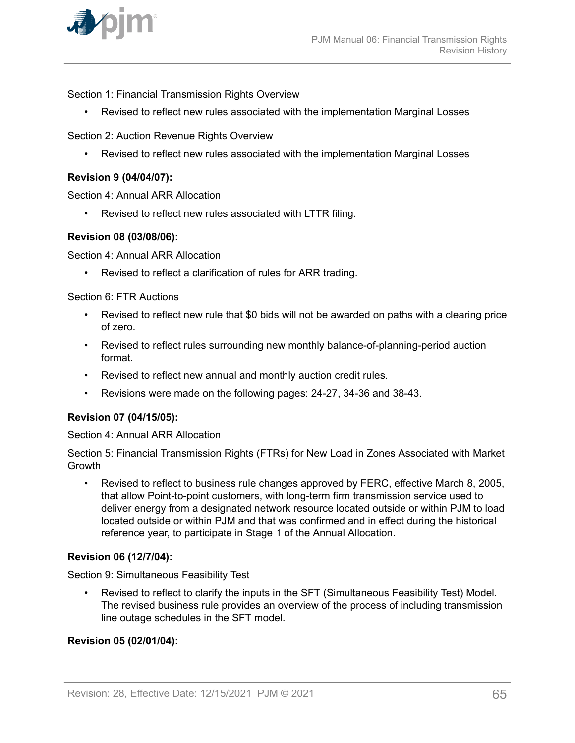

Section 1: Financial Transmission Rights Overview

• Revised to reflect new rules associated with the implementation Marginal Losses

Section 2: Auction Revenue Rights Overview

• Revised to reflect new rules associated with the implementation Marginal Losses

#### **Revision 9 (04/04/07):**

Section 4: Annual ARR Allocation

• Revised to reflect new rules associated with LTTR filing.

#### **Revision 08 (03/08/06):**

Section 4: Annual ARR Allocation

• Revised to reflect a clarification of rules for ARR trading.

Section 6: FTR Auctions

- Revised to reflect new rule that \$0 bids will not be awarded on paths with a clearing price of zero.
- Revised to reflect rules surrounding new monthly balance-of-planning-period auction format.
- Revised to reflect new annual and monthly auction credit rules.
- Revisions were made on the following pages: 24-27, 34-36 and 38-43.

#### **Revision 07 (04/15/05):**

Section 4: Annual ARR Allocation

Section 5: Financial Transmission Rights (FTRs) for New Load in Zones Associated with Market **Growth** 

• Revised to reflect to business rule changes approved by FERC, effective March 8, 2005, that allow Point-to-point customers, with long-term firm transmission service used to deliver energy from a designated network resource located outside or within PJM to load located outside or within PJM and that was confirmed and in effect during the historical reference year, to participate in Stage 1 of the Annual Allocation.

#### **Revision 06 (12/7/04):**

Section 9: Simultaneous Feasibility Test

• Revised to reflect to clarify the inputs in the SFT (Simultaneous Feasibility Test) Model. The revised business rule provides an overview of the process of including transmission line outage schedules in the SFT model.

#### **Revision 05 (02/01/04):**